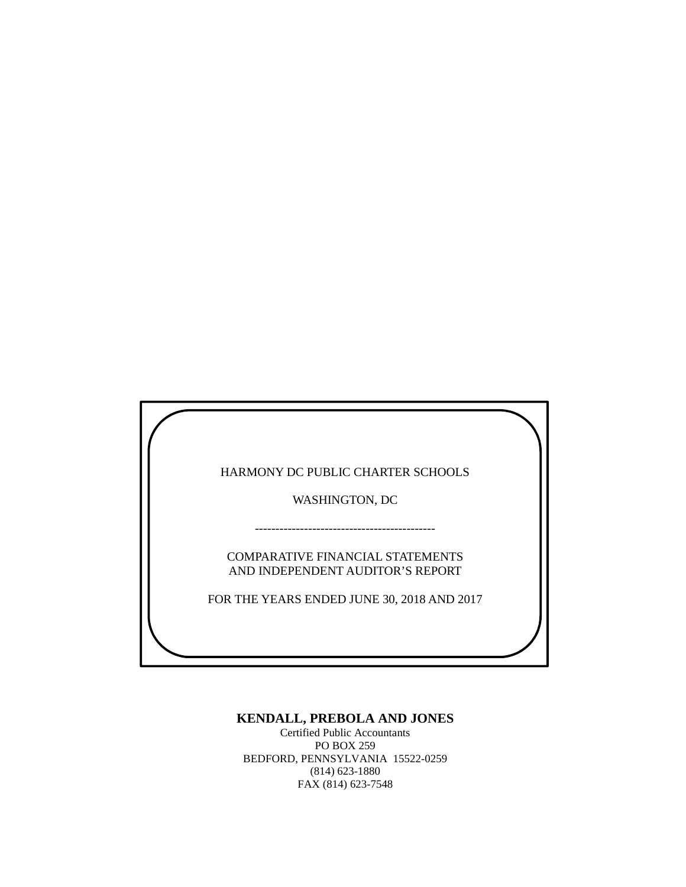HARMONY DC PUBLIC CHARTER SCHOOLS

WASHINGTON, DC

COMPARATIVE FINANCIAL STATEMENTS AND INDEPENDENT AUDITOR'S REPORT

--------------------------------------------

FOR THE YEARS ENDED JUNE 30, 2018 AND 2017

# **KENDALL, PREBOLA AND JONES**

Certified Public Accountants PO BOX 259 BEDFORD, PENNSYLVANIA 15522-0259 (814) 623-1880 FAX (814) 623-7548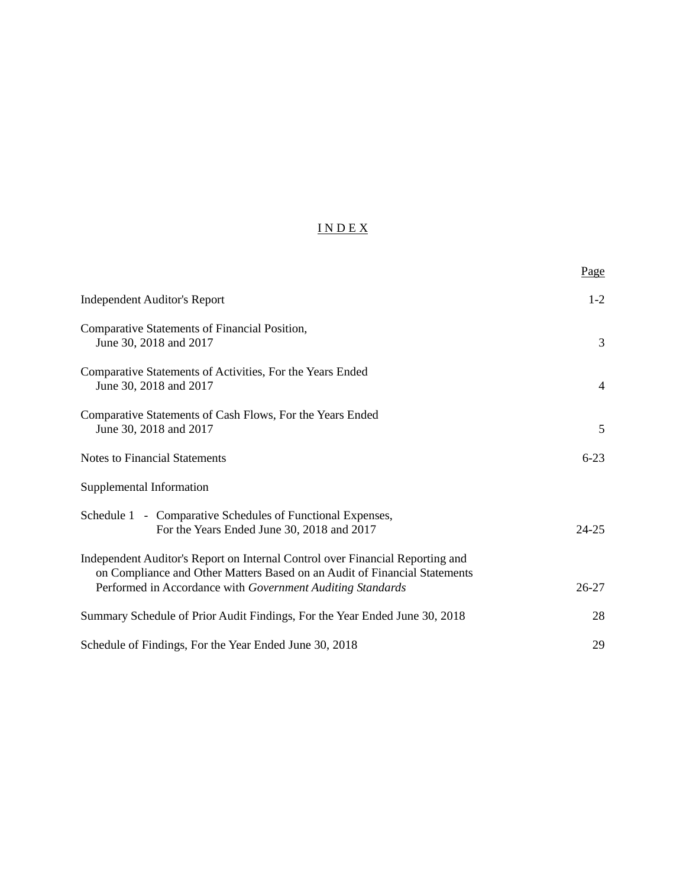# I N D E X

|                                                                                                                                                                                                                          | Page           |
|--------------------------------------------------------------------------------------------------------------------------------------------------------------------------------------------------------------------------|----------------|
| <b>Independent Auditor's Report</b>                                                                                                                                                                                      | $1-2$          |
| Comparative Statements of Financial Position,<br>June 30, 2018 and 2017                                                                                                                                                  | 3              |
| Comparative Statements of Activities, For the Years Ended<br>June 30, 2018 and 2017                                                                                                                                      | $\overline{4}$ |
| Comparative Statements of Cash Flows, For the Years Ended<br>June 30, 2018 and 2017                                                                                                                                      | 5              |
| <b>Notes to Financial Statements</b>                                                                                                                                                                                     | $6 - 23$       |
| Supplemental Information                                                                                                                                                                                                 |                |
| Schedule 1 - Comparative Schedules of Functional Expenses,<br>For the Years Ended June 30, 2018 and 2017                                                                                                                 | $24 - 25$      |
| Independent Auditor's Report on Internal Control over Financial Reporting and<br>on Compliance and Other Matters Based on an Audit of Financial Statements<br>Performed in Accordance with Government Auditing Standards | $26 - 27$      |
| Summary Schedule of Prior Audit Findings, For the Year Ended June 30, 2018                                                                                                                                               | 28             |
| Schedule of Findings, For the Year Ended June 30, 2018                                                                                                                                                                   | 29             |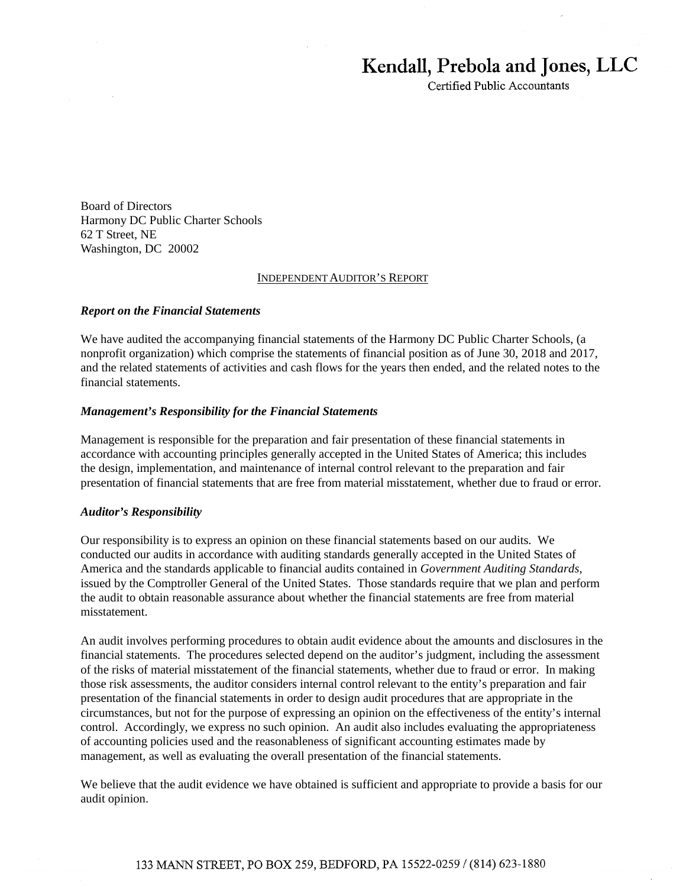# Kendall, Prebola and Jones, LLC

Certified Public Accountants

Board of Directors Harmony DC Public Charter Schools 62 T Street, NE Washington, DC 20002

#### INDEPENDENT AUDITOR'S REPORT

#### *Report on the Financial Statements*

We have audited the accompanying financial statements of the Harmony DC Public Charter Schools, (a nonprofit organization) which comprise the statements of financial position as of June 30, 2018 and 2017, and the related statements of activities and cash flows for the years then ended, and the related notes to the financial statements.

#### *Management's Responsibility for the Financial Statements*

Management is responsible for the preparation and fair presentation of these financial statements in accordance with accounting principles generally accepted in the United States of America; this includes the design, implementation, and maintenance of internal control relevant to the preparation and fair presentation of financial statements that are free from material misstatement, whether due to fraud or error.

#### *Auditor's Responsibility*

Our responsibility is to express an opinion on these financial statements based on our audits. We conducted our audits in accordance with auditing standards generally accepted in the United States of America and the standards applicable to financial audits contained in *Government Auditing Standards*, issued by the Comptroller General of the United States. Those standards require that we plan and perform the audit to obtain reasonable assurance about whether the financial statements are free from material misstatement.

An audit involves performing procedures to obtain audit evidence about the amounts and disclosures in the financial statements. The procedures selected depend on the auditor's judgment, including the assessment of the risks of material misstatement of the financial statements, whether due to fraud or error. In making those risk assessments, the auditor considers internal control relevant to the entity's preparation and fair presentation of the financial statements in order to design audit procedures that are appropriate in the circumstances, but not for the purpose of expressing an opinion on the effectiveness of the entity's internal control. Accordingly, we express no such opinion. An audit also includes evaluating the appropriateness of accounting policies used and the reasonableness of significant accounting estimates made by management, as well as evaluating the overall presentation of the financial statements.

We believe that the audit evidence we have obtained is sufficient and appropriate to provide a basis for our audit opinion.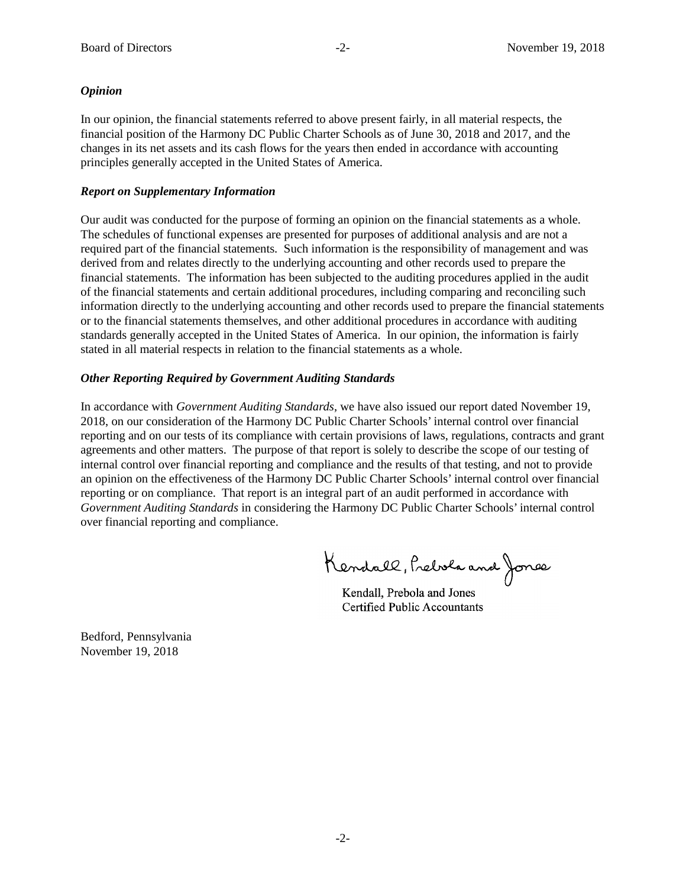### *Opinion*

In our opinion, the financial statements referred to above present fairly, in all material respects, the financial position of the Harmony DC Public Charter Schools as of June 30, 2018 and 2017, and the changes in its net assets and its cash flows for the years then ended in accordance with accounting principles generally accepted in the United States of America.

### *Report on Supplementary Information*

Our audit was conducted for the purpose of forming an opinion on the financial statements as a whole. The schedules of functional expenses are presented for purposes of additional analysis and are not a required part of the financial statements. Such information is the responsibility of management and was derived from and relates directly to the underlying accounting and other records used to prepare the financial statements. The information has been subjected to the auditing procedures applied in the audit of the financial statements and certain additional procedures, including comparing and reconciling such information directly to the underlying accounting and other records used to prepare the financial statements or to the financial statements themselves, and other additional procedures in accordance with auditing standards generally accepted in the United States of America. In our opinion, the information is fairly stated in all material respects in relation to the financial statements as a whole.

### *Other Reporting Required by Government Auditing Standards*

In accordance with *Government Auditing Standards*, we have also issued our report dated November 19, 2018, on our consideration of the Harmony DC Public Charter Schools' internal control over financial reporting and on our tests of its compliance with certain provisions of laws, regulations, contracts and grant agreements and other matters. The purpose of that report is solely to describe the scope of our testing of internal control over financial reporting and compliance and the results of that testing, and not to provide an opinion on the effectiveness of the Harmony DC Public Charter Schools' internal control over financial reporting or on compliance. That report is an integral part of an audit performed in accordance with *Government Auditing Standards* in considering the Harmony DC Public Charter Schools' internal control over financial reporting and compliance.

Kendall, Prebola and Jones

Kendall, Prebola and Jones Kendall, Prebola and Jones Certified Public Accountants Certified Public Accountants

Bedford, Pennsylvania November 19, 2018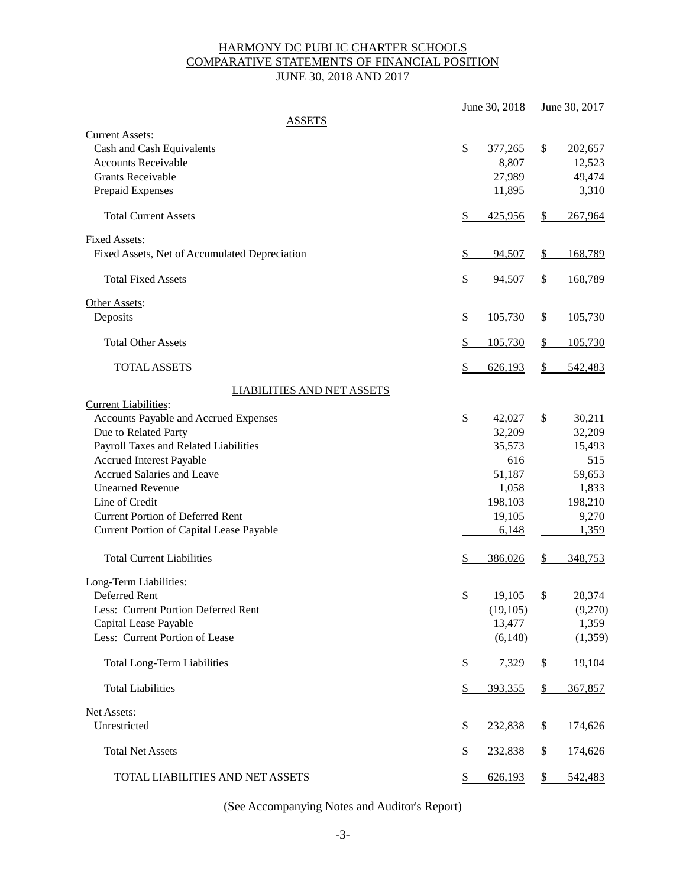# HARMONY DC PUBLIC CHARTER SCHOOLS COMPARATIVE STATEMENTS OF FINANCIAL POSITION JUNE 30, 2018 AND 2017

|                                                                                                                                                                                                                                                                                                                                                                                                          |               | June 30, 2018                                                                                 |                     | June 30, 2017                                                                                |
|----------------------------------------------------------------------------------------------------------------------------------------------------------------------------------------------------------------------------------------------------------------------------------------------------------------------------------------------------------------------------------------------------------|---------------|-----------------------------------------------------------------------------------------------|---------------------|----------------------------------------------------------------------------------------------|
| <b>ASSETS</b>                                                                                                                                                                                                                                                                                                                                                                                            |               |                                                                                               |                     |                                                                                              |
| <b>Current Assets:</b><br>Cash and Cash Equivalents<br><b>Accounts Receivable</b><br><b>Grants Receivable</b><br>Prepaid Expenses                                                                                                                                                                                                                                                                        | \$            | 377,265<br>8,807<br>27,989<br>11,895                                                          | \$                  | 202,657<br>12,523<br>49,474<br>3,310                                                         |
| <b>Total Current Assets</b>                                                                                                                                                                                                                                                                                                                                                                              | \$            | 425,956                                                                                       | \$                  | 267,964                                                                                      |
| <b>Fixed Assets:</b><br>Fixed Assets, Net of Accumulated Depreciation                                                                                                                                                                                                                                                                                                                                    | $\mathcal{L}$ | 94,507                                                                                        | $\frac{1}{2}$       | 168,789                                                                                      |
| <b>Total Fixed Assets</b>                                                                                                                                                                                                                                                                                                                                                                                | $\mathcal{L}$ | 94,507                                                                                        | $\mathcal{S}$       | 168,789                                                                                      |
| Other Assets:<br>Deposits                                                                                                                                                                                                                                                                                                                                                                                | \$            | 105,730                                                                                       | $\frac{1}{2}$       | 105,730                                                                                      |
| <b>Total Other Assets</b>                                                                                                                                                                                                                                                                                                                                                                                | \$            | 105,730                                                                                       | \$                  | 105,730                                                                                      |
| <b>TOTAL ASSETS</b>                                                                                                                                                                                                                                                                                                                                                                                      | $\frac{1}{2}$ | 626,193                                                                                       | \$                  | 542,483                                                                                      |
| <b>LIABILITIES AND NET ASSETS</b>                                                                                                                                                                                                                                                                                                                                                                        |               |                                                                                               |                     |                                                                                              |
| <b>Current Liabilities:</b><br>Accounts Payable and Accrued Expenses<br>Due to Related Party<br>Payroll Taxes and Related Liabilities<br>Accrued Interest Payable<br><b>Accrued Salaries and Leave</b><br><b>Unearned Revenue</b><br>Line of Credit<br><b>Current Portion of Deferred Rent</b><br>Current Portion of Capital Lease Payable<br><b>Total Current Liabilities</b><br>Long-Term Liabilities: | \$<br>\$      | 42,027<br>32,209<br>35,573<br>616<br>51,187<br>1,058<br>198,103<br>19,105<br>6,148<br>386,026 | \$<br>\$            | 30,211<br>32,209<br>15,493<br>515<br>59,653<br>1,833<br>198,210<br>9,270<br>1,359<br>348,753 |
| Deferred Rent<br>Less: Current Portion Deferred Rent<br>Capital Lease Payable<br>Less: Current Portion of Lease<br><b>Total Long-Term Liabilities</b>                                                                                                                                                                                                                                                    | \$<br>\$      | 19,105<br>(19, 105)<br>13,477<br>(6,148)<br>7,329                                             | \$<br>$\frac{1}{2}$ | 28,374<br>(9,270)<br>1,359<br>(1,359)<br>19,104                                              |
|                                                                                                                                                                                                                                                                                                                                                                                                          |               |                                                                                               |                     |                                                                                              |
| <b>Total Liabilities</b>                                                                                                                                                                                                                                                                                                                                                                                 | \$            | 393,355                                                                                       | $\frac{1}{2}$       | 367,857                                                                                      |
| Net Assets:<br>Unrestricted                                                                                                                                                                                                                                                                                                                                                                              | $\frac{1}{2}$ | 232,838                                                                                       | $\frac{1}{2}$       | 174,626                                                                                      |
| <b>Total Net Assets</b>                                                                                                                                                                                                                                                                                                                                                                                  | $\frac{1}{2}$ | 232,838                                                                                       | \$                  | 174,626                                                                                      |
| TOTAL LIABILITIES AND NET ASSETS                                                                                                                                                                                                                                                                                                                                                                         | $\mathcal{S}$ | 626,193                                                                                       | \$                  | 542,483                                                                                      |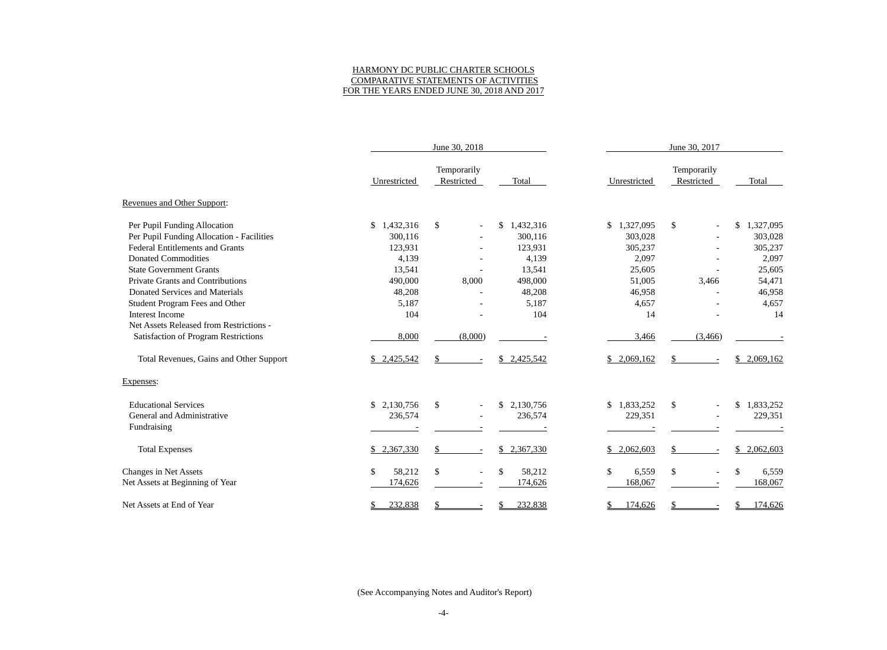### HARMONY DC PUBLIC CHARTER SCHOOLS COMPARATIVE STATEMENTS OF ACTIVITIES FOR THE YEARS ENDED JUNE 30, 2018 AND 2017

|                                           | June 30, 2018   |                                  |                                     | June 30, 2017 |                           |                 |  |
|-------------------------------------------|-----------------|----------------------------------|-------------------------------------|---------------|---------------------------|-----------------|--|
|                                           | Unrestricted    | Temporarily<br>Restricted        | Total                               | Unrestricted  | Temporarily<br>Restricted | Total           |  |
| Revenues and Other Support:               |                 |                                  |                                     |               |                           |                 |  |
| Per Pupil Funding Allocation              | \$<br>1,432,316 | $\$$                             | 1,432,316<br>\$                     | \$1,327,095   | \$                        | \$<br>1,327,095 |  |
| Per Pupil Funding Allocation - Facilities | 300,116         |                                  | 300,116                             | 303,028       |                           | 303,028         |  |
| <b>Federal Entitlements and Grants</b>    | 123,931         |                                  | 123,931                             | 305,237       |                           | 305,237         |  |
| <b>Donated Commodities</b>                | 4,139           |                                  | 4,139                               | 2,097         |                           | 2,097           |  |
| <b>State Government Grants</b>            | 13,541          |                                  | 13,541                              | 25,605        |                           | 25,605          |  |
| <b>Private Grants and Contributions</b>   | 490,000         | 8,000                            | 498,000                             | 51,005        | 3,466                     | 54,471          |  |
| Donated Services and Materials            | 48,208          |                                  | 48,208                              | 46,958        |                           | 46,958          |  |
| <b>Student Program Fees and Other</b>     | 5,187           |                                  | 5,187                               | 4,657         |                           | 4,657           |  |
| Interest Income                           | 104             |                                  | 104                                 | 14            |                           | 14              |  |
| Net Assets Released from Restrictions -   |                 |                                  |                                     |               |                           |                 |  |
| Satisfaction of Program Restrictions      | 8,000           | (8,000)                          |                                     | 3,466         | (3,466)                   |                 |  |
| Total Revenues, Gains and Other Support   | \$2,425,542     | \$<br>$\overline{\phantom{a}}$   | \$2,425,542                         | \$2,069,162   | \$                        | \$<br>2,069,162 |  |
| Expenses:                                 |                 |                                  |                                     |               |                           |                 |  |
| <b>Educational Services</b>               | \$<br>2,130,756 | \$                               | \$2,130,756                         | \$1,833,252   | \$                        | \$<br>1,833,252 |  |
| General and Administrative                | 236,574         |                                  | 236,574                             | 229,351       |                           | 229,351         |  |
| Fundraising                               |                 |                                  |                                     |               |                           |                 |  |
| <b>Total Expenses</b>                     | 2,367,330<br>\$ | \$                               | \$<br>2,367,330                     | \$2,062,603   | $\mathcal{S}$             | \$<br>2,062,603 |  |
| <b>Changes in Net Assets</b>              | \$<br>58,212    | $\$$<br>$\overline{\phantom{a}}$ | $\boldsymbol{\mathsf{S}}$<br>58,212 | \$<br>6,559   | $\boldsymbol{\mathsf{S}}$ | \$<br>6,559     |  |
| Net Assets at Beginning of Year           | 174,626         |                                  | 174,626                             | 168,067       |                           | 168,067         |  |
| Net Assets at End of Year                 | 232,838<br>\$   |                                  | 232,838                             | 174,626       | S                         | 174,626         |  |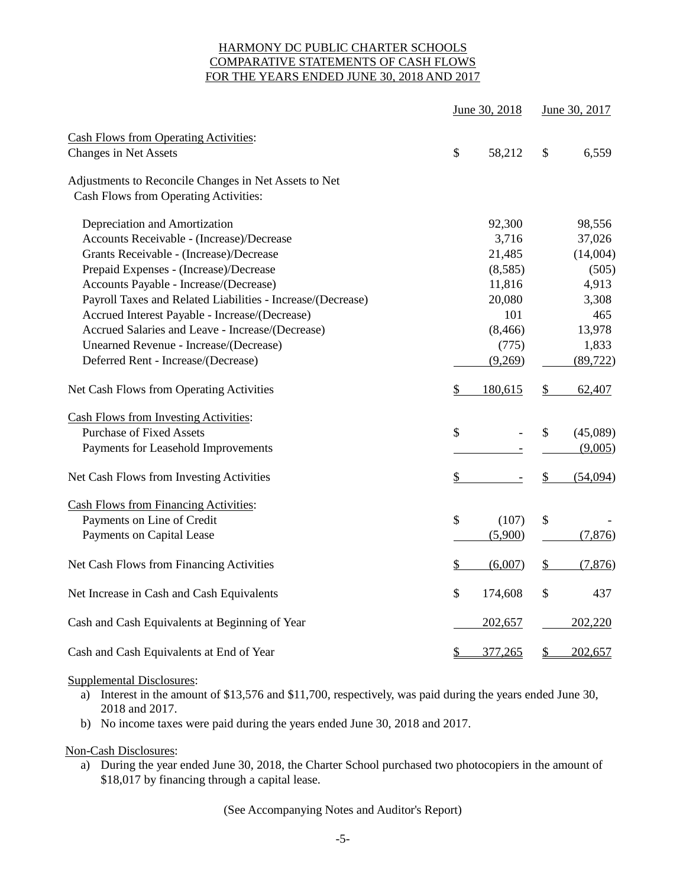# HARMONY DC PUBLIC CHARTER SCHOOLS COMPARATIVE STATEMENTS OF CASH FLOWS FOR THE YEARS ENDED JUNE 30, 2018 AND 2017

|                                                             | June 30, 2018 |               | June 30, 2017 |
|-------------------------------------------------------------|---------------|---------------|---------------|
| <b>Cash Flows from Operating Activities:</b>                |               |               |               |
| <b>Changes in Net Assets</b>                                | \$<br>58,212  | \$            | 6,559         |
| Adjustments to Reconcile Changes in Net Assets to Net       |               |               |               |
| Cash Flows from Operating Activities:                       |               |               |               |
| Depreciation and Amortization                               | 92,300        |               | 98,556        |
| Accounts Receivable - (Increase)/Decrease                   | 3,716         |               | 37,026        |
| Grants Receivable - (Increase)/Decrease                     | 21,485        |               | (14,004)      |
| Prepaid Expenses - (Increase)/Decrease                      | (8,585)       |               | (505)         |
| Accounts Payable - Increase/(Decrease)                      | 11,816        |               | 4,913         |
| Payroll Taxes and Related Liabilities - Increase/(Decrease) | 20,080        |               | 3,308         |
| Accrued Interest Payable - Increase/(Decrease)              | 101           |               | 465           |
| Accrued Salaries and Leave - Increase/(Decrease)            | (8, 466)      |               | 13,978        |
| Unearned Revenue - Increase/(Decrease)                      | (775)         |               | 1,833         |
| Deferred Rent - Increase/(Decrease)                         | (9,269)       |               | (89, 722)     |
| Net Cash Flows from Operating Activities                    | \$<br>180,615 | $\frac{1}{2}$ | 62,407        |
| <b>Cash Flows from Investing Activities:</b>                |               |               |               |
| <b>Purchase of Fixed Assets</b>                             | \$            | \$            | (45,089)      |
| Payments for Leasehold Improvements                         |               |               | (9,005)       |
| Net Cash Flows from Investing Activities                    | \$            | \$            | (54,094)      |
| <b>Cash Flows from Financing Activities:</b>                |               |               |               |
| Payments on Line of Credit                                  | \$<br>(107)   | \$            |               |
| Payments on Capital Lease                                   | (5,900)       |               | (7,876)       |
| Net Cash Flows from Financing Activities                    | \$<br>(6,007) | \$            | (7, 876)      |
| Net Increase in Cash and Cash Equivalents                   | \$<br>174,608 | \$            | 437           |
| Cash and Cash Equivalents at Beginning of Year              | 202,657       |               | 202,220       |
| Cash and Cash Equivalents at End of Year                    | \$<br>377,265 | \$            | 202,657       |

### Supplemental Disclosures:

- a) Interest in the amount of \$13,576 and \$11,700, respectively, was paid during the years ended June 30, 2018 and 2017.
- b) No income taxes were paid during the years ended June 30, 2018 and 2017.

### Non-Cash Disclosures:

a) During the year ended June 30, 2018, the Charter School purchased two photocopiers in the amount of \$18,017 by financing through a capital lease.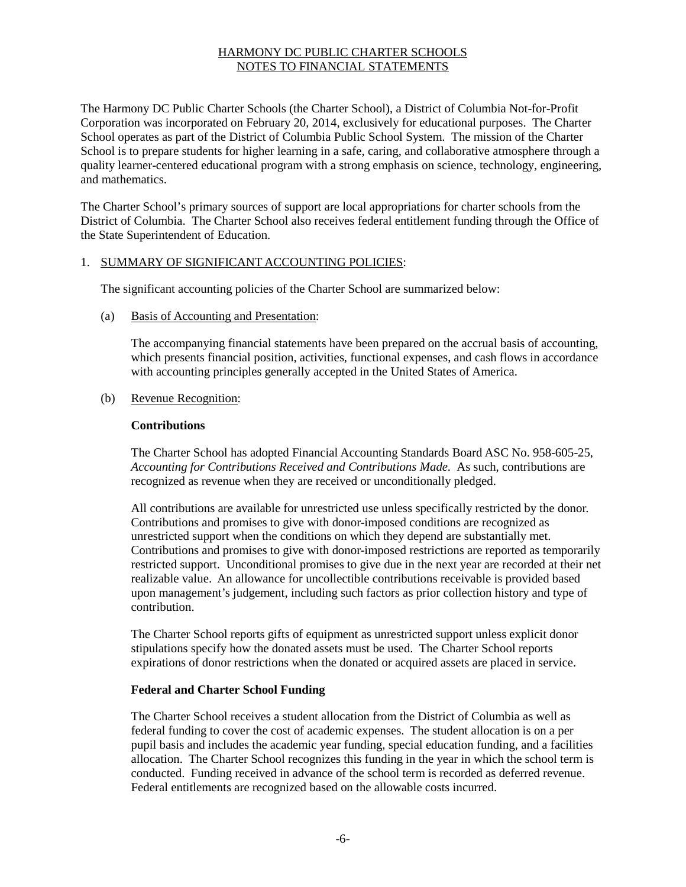The Harmony DC Public Charter Schools (the Charter School), a District of Columbia Not-for-Profit Corporation was incorporated on February 20, 2014, exclusively for educational purposes. The Charter School operates as part of the District of Columbia Public School System. The mission of the Charter School is to prepare students for higher learning in a safe, caring, and collaborative atmosphere through a quality learner-centered educational program with a strong emphasis on science, technology, engineering, and mathematics.

The Charter School's primary sources of support are local appropriations for charter schools from the District of Columbia. The Charter School also receives federal entitlement funding through the Office of the State Superintendent of Education.

### 1. SUMMARY OF SIGNIFICANT ACCOUNTING POLICIES:

The significant accounting policies of the Charter School are summarized below:

(a) Basis of Accounting and Presentation:

The accompanying financial statements have been prepared on the accrual basis of accounting, which presents financial position, activities, functional expenses, and cash flows in accordance with accounting principles generally accepted in the United States of America.

(b) Revenue Recognition:

#### **Contributions**

The Charter School has adopted Financial Accounting Standards Board ASC No. 958-605-25, *Accounting for Contributions Received and Contributions Made.* As such, contributions are recognized as revenue when they are received or unconditionally pledged.

All contributions are available for unrestricted use unless specifically restricted by the donor. Contributions and promises to give with donor-imposed conditions are recognized as unrestricted support when the conditions on which they depend are substantially met. Contributions and promises to give with donor-imposed restrictions are reported as temporarily restricted support. Unconditional promises to give due in the next year are recorded at their net realizable value. An allowance for uncollectible contributions receivable is provided based upon management's judgement, including such factors as prior collection history and type of contribution.

The Charter School reports gifts of equipment as unrestricted support unless explicit donor stipulations specify how the donated assets must be used. The Charter School reports expirations of donor restrictions when the donated or acquired assets are placed in service.

### **Federal and Charter School Funding**

The Charter School receives a student allocation from the District of Columbia as well as federal funding to cover the cost of academic expenses. The student allocation is on a per pupil basis and includes the academic year funding, special education funding, and a facilities allocation. The Charter School recognizes this funding in the year in which the school term is conducted. Funding received in advance of the school term is recorded as deferred revenue. Federal entitlements are recognized based on the allowable costs incurred.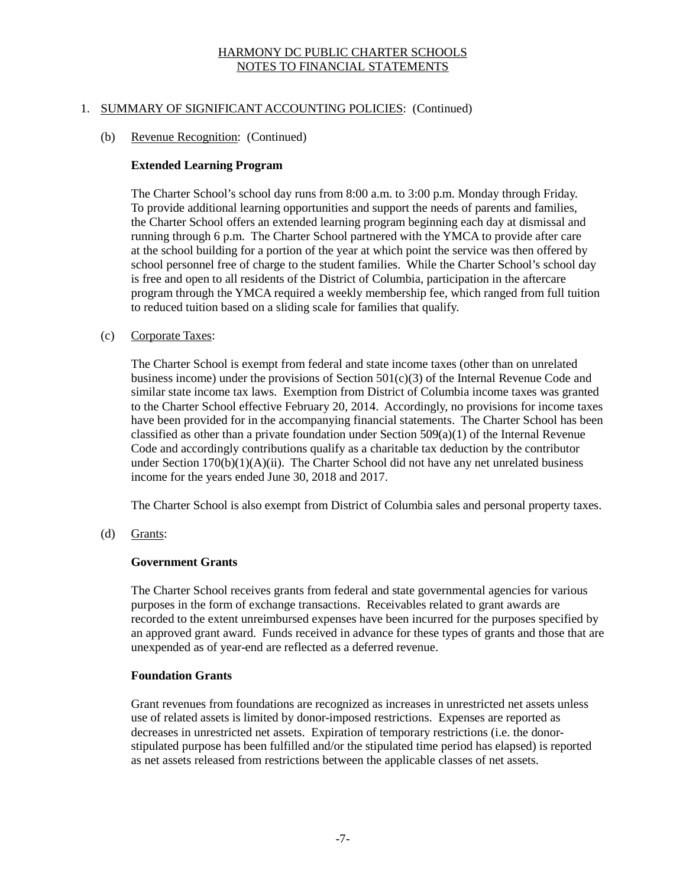# 1. SUMMARY OF SIGNIFICANT ACCOUNTING POLICIES: (Continued)

### (b) Revenue Recognition: (Continued)

### **Extended Learning Program**

The Charter School's school day runs from 8:00 a.m. to 3:00 p.m. Monday through Friday. To provide additional learning opportunities and support the needs of parents and families, the Charter School offers an extended learning program beginning each day at dismissal and running through 6 p.m. The Charter School partnered with the YMCA to provide after care at the school building for a portion of the year at which point the service was then offered by school personnel free of charge to the student families. While the Charter School's school day is free and open to all residents of the District of Columbia, participation in the aftercare program through the YMCA required a weekly membership fee, which ranged from full tuition to reduced tuition based on a sliding scale for families that qualify.

#### (c) Corporate Taxes:

The Charter School is exempt from federal and state income taxes (other than on unrelated business income) under the provisions of Section  $501(c)(3)$  of the Internal Revenue Code and similar state income tax laws. Exemption from District of Columbia income taxes was granted to the Charter School effective February 20, 2014. Accordingly, no provisions for income taxes have been provided for in the accompanying financial statements. The Charter School has been classified as other than a private foundation under Section  $509(a)(1)$  of the Internal Revenue Code and accordingly contributions qualify as a charitable tax deduction by the contributor under Section  $170(b)(1)(A)(ii)$ . The Charter School did not have any net unrelated business income for the years ended June 30, 2018 and 2017.

The Charter School is also exempt from District of Columbia sales and personal property taxes.

(d) Grants:

#### **Government Grants**

The Charter School receives grants from federal and state governmental agencies for various purposes in the form of exchange transactions. Receivables related to grant awards are recorded to the extent unreimbursed expenses have been incurred for the purposes specified by an approved grant award. Funds received in advance for these types of grants and those that are unexpended as of year-end are reflected as a deferred revenue.

### **Foundation Grants**

Grant revenues from foundations are recognized as increases in unrestricted net assets unless use of related assets is limited by donor-imposed restrictions. Expenses are reported as decreases in unrestricted net assets. Expiration of temporary restrictions (i.e. the donorstipulated purpose has been fulfilled and/or the stipulated time period has elapsed) is reported as net assets released from restrictions between the applicable classes of net assets.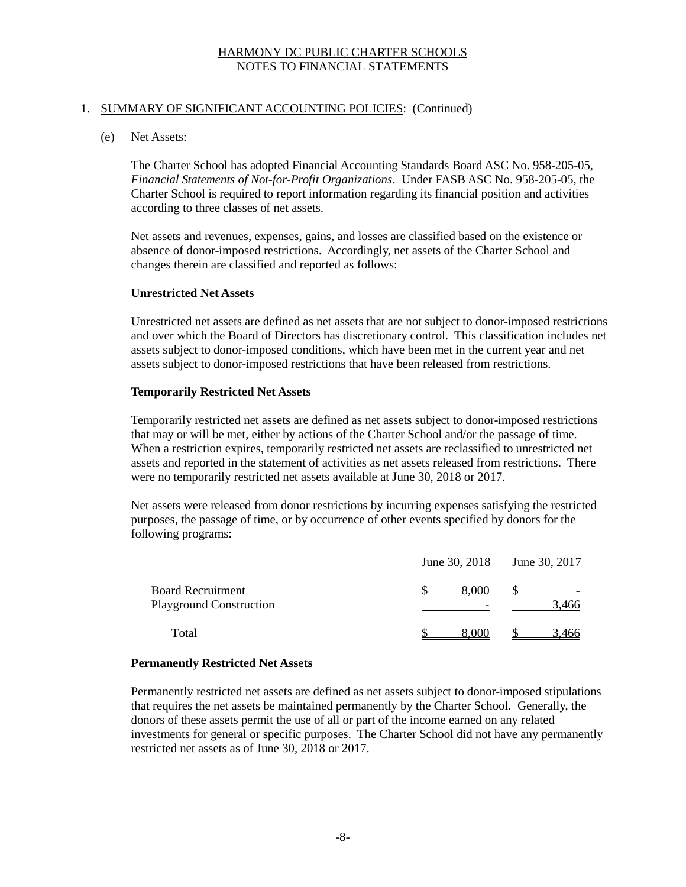### 1. SUMMARY OF SIGNIFICANT ACCOUNTING POLICIES: (Continued)

### (e) Net Assets:

The Charter School has adopted Financial Accounting Standards Board ASC No. 958-205-05, *Financial Statements of Not-for-Profit Organizations*. Under FASB ASC No. 958-205-05, the Charter School is required to report information regarding its financial position and activities according to three classes of net assets.

Net assets and revenues, expenses, gains, and losses are classified based on the existence or absence of donor-imposed restrictions. Accordingly, net assets of the Charter School and changes therein are classified and reported as follows:

#### **Unrestricted Net Assets**

Unrestricted net assets are defined as net assets that are not subject to donor-imposed restrictions and over which the Board of Directors has discretionary control. This classification includes net assets subject to donor-imposed conditions, which have been met in the current year and net assets subject to donor-imposed restrictions that have been released from restrictions.

#### **Temporarily Restricted Net Assets**

Temporarily restricted net assets are defined as net assets subject to donor-imposed restrictions that may or will be met, either by actions of the Charter School and/or the passage of time. When a restriction expires, temporarily restricted net assets are reclassified to unrestricted net assets and reported in the statement of activities as net assets released from restrictions. There were no temporarily restricted net assets available at June 30, 2018 or 2017.

Net assets were released from donor restrictions by incurring expenses satisfying the restricted purposes, the passage of time, or by occurrence of other events specified by donors for the following programs:

|                                                            |  | June 30, 2018 | June 30, 2017 |       |  |
|------------------------------------------------------------|--|---------------|---------------|-------|--|
| <b>Board Recruitment</b><br><b>Playground Construction</b> |  | 8,000<br>-    |               | 3.466 |  |
| Total                                                      |  | -8.000-       |               | 3.466 |  |

### **Permanently Restricted Net Assets**

Permanently restricted net assets are defined as net assets subject to donor-imposed stipulations that requires the net assets be maintained permanently by the Charter School. Generally, the donors of these assets permit the use of all or part of the income earned on any related investments for general or specific purposes. The Charter School did not have any permanently restricted net assets as of June 30, 2018 or 2017.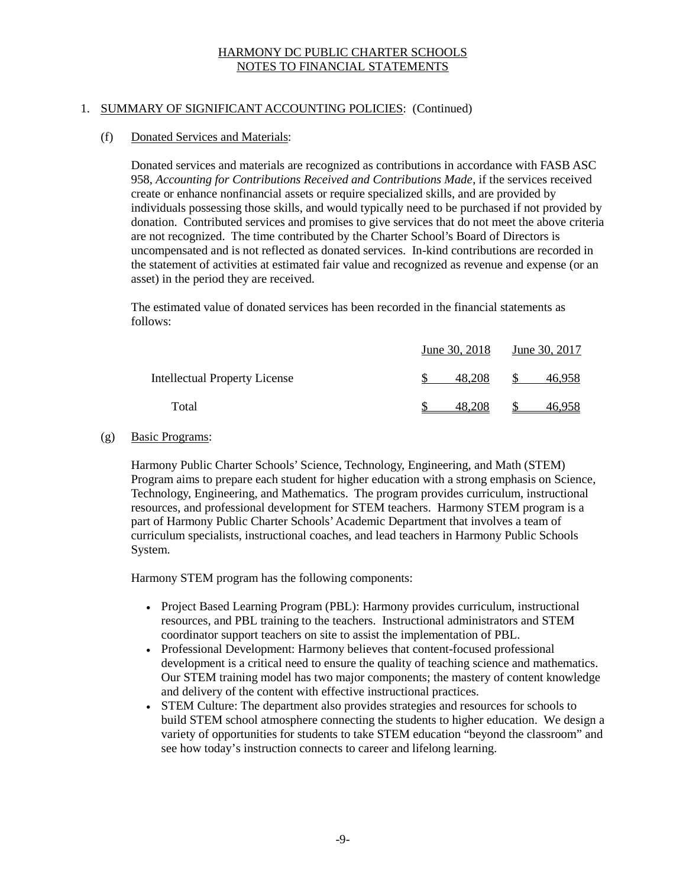# 1. SUMMARY OF SIGNIFICANT ACCOUNTING POLICIES: (Continued)

# (f) Donated Services and Materials:

Donated services and materials are recognized as contributions in accordance with FASB ASC 958, *Accounting for Contributions Received and Contributions Made*, if the services received create or enhance nonfinancial assets or require specialized skills, and are provided by individuals possessing those skills, and would typically need to be purchased if not provided by donation. Contributed services and promises to give services that do not meet the above criteria are not recognized. The time contributed by the Charter School's Board of Directors is uncompensated and is not reflected as donated services. In-kind contributions are recorded in the statement of activities at estimated fair value and recognized as revenue and expense (or an asset) in the period they are received.

The estimated value of donated services has been recorded in the financial statements as follows:

|                                      | June 30, 2018 | June 30, 2017 |        |  |
|--------------------------------------|---------------|---------------|--------|--|
| <b>Intellectual Property License</b> | 48.208        |               | 46.958 |  |
| Total                                | 48.208        |               | 46.958 |  |

### (g) Basic Programs:

Harmony Public Charter Schools' Science, Technology, Engineering, and Math (STEM) Program aims to prepare each student for higher education with a strong emphasis on Science, Technology, Engineering, and Mathematics. The program provides curriculum, instructional resources, and professional development for STEM teachers. Harmony STEM program is a part of Harmony Public Charter Schools'Academic Department that involves a team of curriculum specialists, instructional coaches, and lead teachers in Harmony Public Schools System.

Harmony STEM program has the following components:

- Project Based Learning Program (PBL): Harmony provides curriculum, instructional resources, and PBL training to the teachers. Instructional administrators and STEM coordinator support teachers on site to assist the implementation of PBL.
- Professional Development: Harmony believes that content-focused professional development is a critical need to ensure the quality of teaching science and mathematics. Our STEM training model has two major components; the mastery of content knowledge and delivery of the content with effective instructional practices.
- STEM Culture: The department also provides strategies and resources for schools to build STEM school atmosphere connecting the students to higher education. We design a variety of opportunities for students to take STEM education "beyond the classroom" and see how today's instruction connects to career and lifelong learning.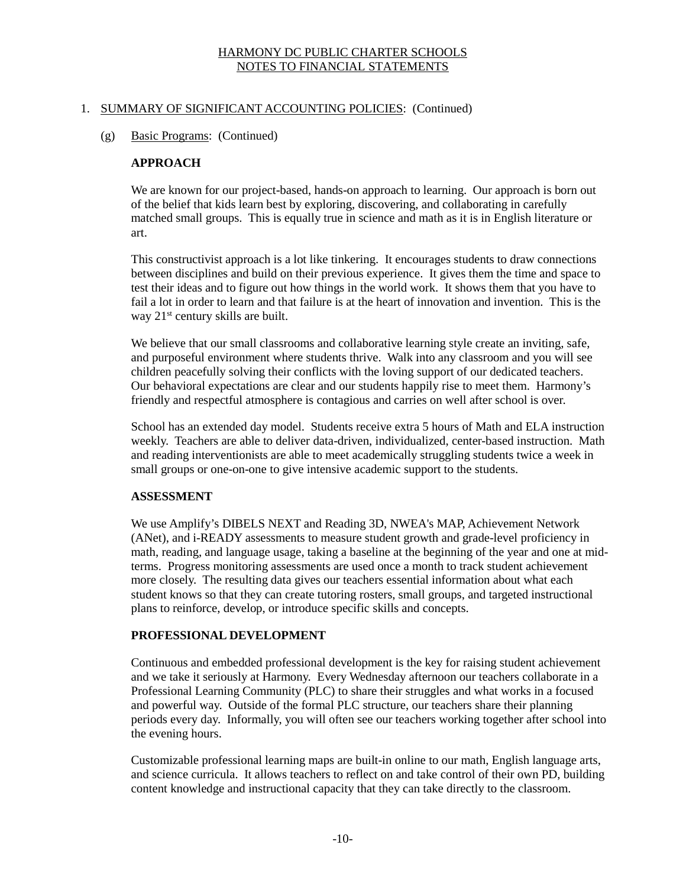# 1. SUMMARY OF SIGNIFICANT ACCOUNTING POLICIES: (Continued)

### (g) Basic Programs: (Continued)

# **APPROACH**

We are known for our project-based, hands-on approach to learning. Our approach is born out of the belief that kids learn best by exploring, discovering, and collaborating in carefully matched small groups. This is equally true in science and math as it is in English literature or art.

This constructivist approach is a lot like tinkering. It encourages students to draw connections between disciplines and build on their previous experience. It gives them the time and space to test their ideas and to figure out how things in the world work. It shows them that you have to fail a lot in order to learn and that failure is at the heart of innovation and invention. This is the way 21<sup>st</sup> century skills are built.

We believe that our small classrooms and collaborative learning style create an inviting, safe, and purposeful environment where students thrive. Walk into any classroom and you will see children peacefully solving their conflicts with the loving support of our dedicated teachers. Our behavioral expectations are clear and our students happily rise to meet them. Harmony's friendly and respectful atmosphere is contagious and carries on well after school is over.

School has an extended day model. Students receive extra 5 hours of Math and ELA instruction weekly. Teachers are able to deliver data-driven, individualized, center-based instruction. Math and reading interventionists are able to meet academically struggling students twice a week in small groups or one-on-one to give intensive academic support to the students.

### **ASSESSMENT**

We use Amplify's DIBELS NEXT and Reading 3D, NWEA's MAP, Achievement Network (ANet), and i-READY assessments to measure student growth and grade-level proficiency in math, reading, and language usage, taking a baseline at the beginning of the year and one at midterms. Progress monitoring assessments are used once a month to track student achievement more closely. The resulting data gives our teachers essential information about what each student knows so that they can create tutoring rosters, small groups, and targeted instructional plans to reinforce, develop, or introduce specific skills and concepts.

# **PROFESSIONAL DEVELOPMENT**

Continuous and embedded professional development is the key for raising student achievement and we take it seriously at Harmony. Every Wednesday afternoon our teachers collaborate in a Professional Learning Community (PLC) to share their struggles and what works in a focused and powerful way. Outside of the formal PLC structure, our teachers share their planning periods every day. Informally, you will often see our teachers working together after school into the evening hours.

Customizable professional learning maps are built-in online to our math, English language arts, and science curricula. It allows teachers to reflect on and take control of their own PD, building content knowledge and instructional capacity that they can take directly to the classroom.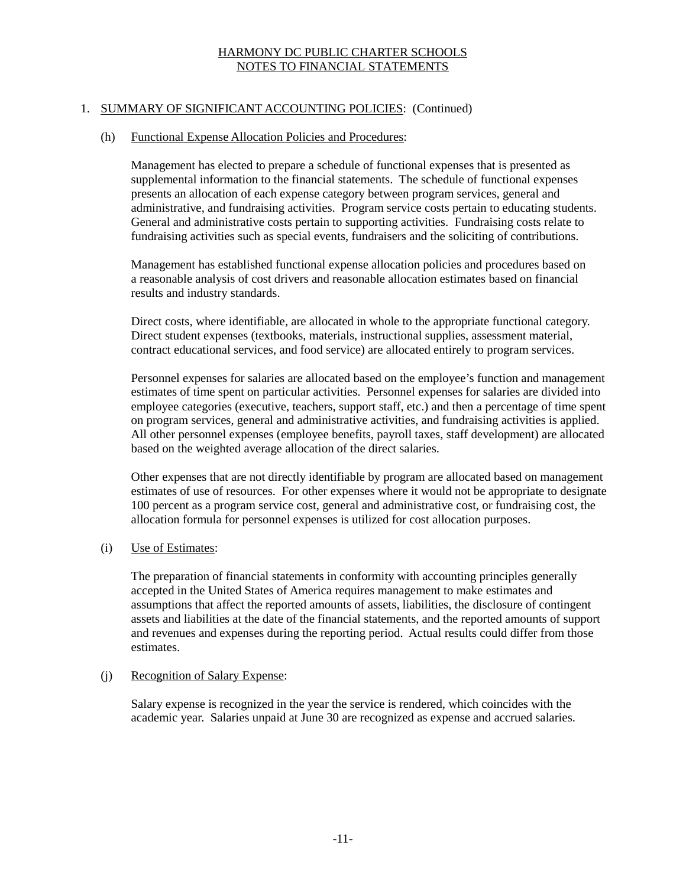# 1. SUMMARY OF SIGNIFICANT ACCOUNTING POLICIES: (Continued)

#### (h) Functional Expense Allocation Policies and Procedures:

Management has elected to prepare a schedule of functional expenses that is presented as supplemental information to the financial statements. The schedule of functional expenses presents an allocation of each expense category between program services, general and administrative, and fundraising activities. Program service costs pertain to educating students. General and administrative costs pertain to supporting activities. Fundraising costs relate to fundraising activities such as special events, fundraisers and the soliciting of contributions.

Management has established functional expense allocation policies and procedures based on a reasonable analysis of cost drivers and reasonable allocation estimates based on financial results and industry standards.

Direct costs, where identifiable, are allocated in whole to the appropriate functional category. Direct student expenses (textbooks, materials, instructional supplies, assessment material, contract educational services, and food service) are allocated entirely to program services.

Personnel expenses for salaries are allocated based on the employee's function and management estimates of time spent on particular activities. Personnel expenses for salaries are divided into employee categories (executive, teachers, support staff, etc.) and then a percentage of time spent on program services, general and administrative activities, and fundraising activities is applied. All other personnel expenses (employee benefits, payroll taxes, staff development) are allocated based on the weighted average allocation of the direct salaries.

Other expenses that are not directly identifiable by program are allocated based on management estimates of use of resources. For other expenses where it would not be appropriate to designate 100 percent as a program service cost, general and administrative cost, or fundraising cost, the allocation formula for personnel expenses is utilized for cost allocation purposes.

### (i) Use of Estimates:

The preparation of financial statements in conformity with accounting principles generally accepted in the United States of America requires management to make estimates and assumptions that affect the reported amounts of assets, liabilities, the disclosure of contingent assets and liabilities at the date of the financial statements, and the reported amounts of support and revenues and expenses during the reporting period. Actual results could differ from those estimates.

### (j) Recognition of Salary Expense:

Salary expense is recognized in the year the service is rendered, which coincides with the academic year. Salaries unpaid at June 30 are recognized as expense and accrued salaries.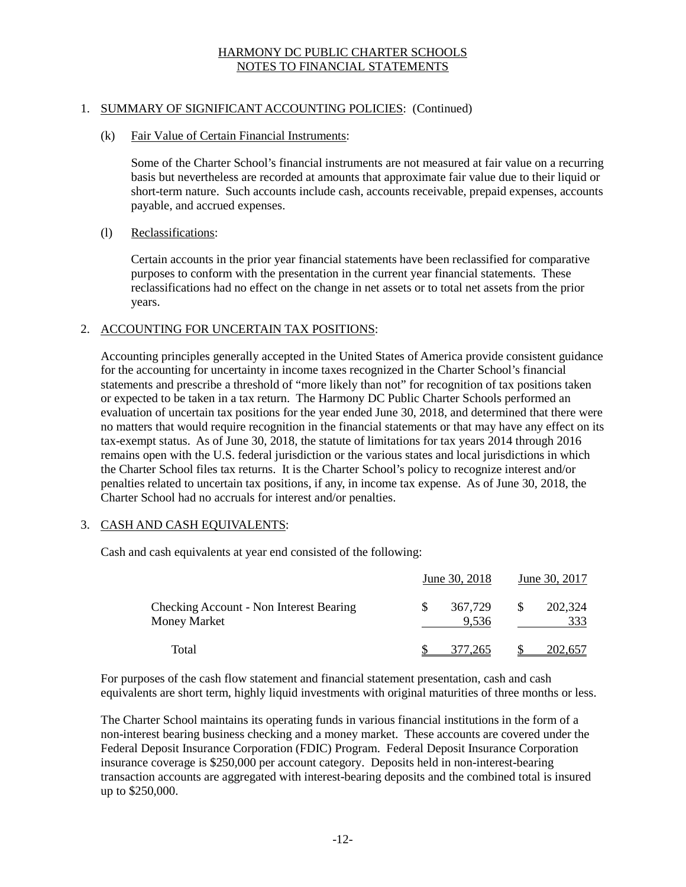# 1. SUMMARY OF SIGNIFICANT ACCOUNTING POLICIES: (Continued)

### (k) Fair Value of Certain Financial Instruments:

Some of the Charter School's financial instruments are not measured at fair value on a recurring basis but nevertheless are recorded at amounts that approximate fair value due to their liquid or short-term nature. Such accounts include cash, accounts receivable, prepaid expenses, accounts payable, and accrued expenses.

### (l) Reclassifications:

Certain accounts in the prior year financial statements have been reclassified for comparative purposes to conform with the presentation in the current year financial statements. These reclassifications had no effect on the change in net assets or to total net assets from the prior years.

### 2. ACCOUNTING FOR UNCERTAIN TAX POSITIONS:

Accounting principles generally accepted in the United States of America provide consistent guidance for the accounting for uncertainty in income taxes recognized in the Charter School's financial statements and prescribe a threshold of "more likely than not" for recognition of tax positions taken or expected to be taken in a tax return. The Harmony DC Public Charter Schools performed an evaluation of uncertain tax positions for the year ended June 30, 2018, and determined that there were no matters that would require recognition in the financial statements or that may have any effect on its tax-exempt status. As of June 30, 2018, the statute of limitations for tax years 2014 through 2016 remains open with the U.S. federal jurisdiction or the various states and local jurisdictions in which the Charter School files tax returns. It is the Charter School's policy to recognize interest and/or penalties related to uncertain tax positions, if any, in income tax expense. As of June 30, 2018, the Charter School had no accruals for interest and/or penalties.

#### 3. CASH AND CASH EQUIVALENTS:

Cash and cash equivalents at year end consisted of the following:

|                                                         |   | June 30, 2018    | June 30, 2017 |                |  |
|---------------------------------------------------------|---|------------------|---------------|----------------|--|
| Checking Account - Non Interest Bearing<br>Money Market | S | 367,729<br>9.536 |               | 202,324<br>333 |  |
| Total                                                   |   | 377.265          |               | 202.657        |  |

For purposes of the cash flow statement and financial statement presentation, cash and cash equivalents are short term, highly liquid investments with original maturities of three months or less.

The Charter School maintains its operating funds in various financial institutions in the form of a non-interest bearing business checking and a money market. These accounts are covered under the Federal Deposit Insurance Corporation (FDIC) Program. Federal Deposit Insurance Corporation insurance coverage is \$250,000 per account category. Deposits held in non-interest-bearing transaction accounts are aggregated with interest-bearing deposits and the combined total is insured up to \$250,000.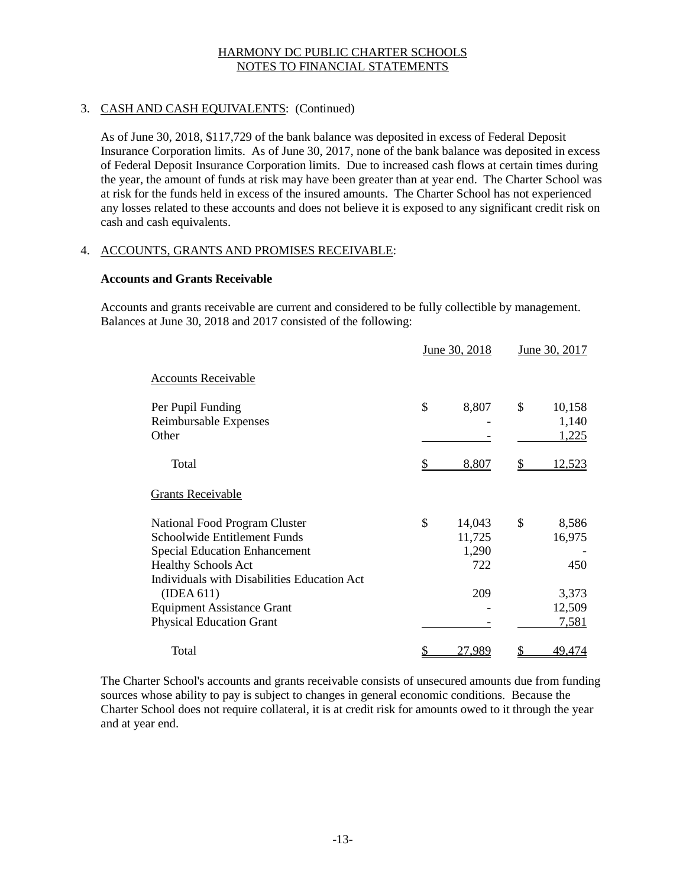# 3. CASH AND CASH EQUIVALENTS: (Continued)

As of June 30, 2018, \$117,729 of the bank balance was deposited in excess of Federal Deposit Insurance Corporation limits. As of June 30, 2017, none of the bank balance was deposited in excess of Federal Deposit Insurance Corporation limits. Due to increased cash flows at certain times during the year, the amount of funds at risk may have been greater than at year end. The Charter School was at risk for the funds held in excess of the insured amounts. The Charter School has not experienced any losses related to these accounts and does not believe it is exposed to any significant credit risk on cash and cash equivalents.

# 4. ACCOUNTS, GRANTS AND PROMISES RECEIVABLE:

### **Accounts and Grants Receivable**

Accounts and grants receivable are current and considered to be fully collectible by management. Balances at June 30, 2018 and 2017 consisted of the following:

|                                                                                                                                                                                                                                                                          | June 30, 2018                                 | June 30, 2017                                            |
|--------------------------------------------------------------------------------------------------------------------------------------------------------------------------------------------------------------------------------------------------------------------------|-----------------------------------------------|----------------------------------------------------------|
| <b>Accounts Receivable</b>                                                                                                                                                                                                                                               |                                               |                                                          |
| Per Pupil Funding<br>Reimbursable Expenses<br>Other                                                                                                                                                                                                                      | \$<br>8,807                                   | \$<br>10,158<br>1,140<br>1,225                           |
| Total                                                                                                                                                                                                                                                                    | 8,807                                         | <u>12,523</u>                                            |
| <b>Grants Receivable</b>                                                                                                                                                                                                                                                 |                                               |                                                          |
| National Food Program Cluster<br>Schoolwide Entitlement Funds<br><b>Special Education Enhancement</b><br><b>Healthy Schools Act</b><br>Individuals with Disabilities Education Act<br>(IDEA 611)<br><b>Equipment Assistance Grant</b><br><b>Physical Education Grant</b> | \$<br>14,043<br>11,725<br>1,290<br>722<br>209 | \$<br>8,586<br>16,975<br>450<br>3,373<br>12,509<br>7,581 |
| Total                                                                                                                                                                                                                                                                    | \$<br>27,989                                  | 49,474                                                   |

The Charter School's accounts and grants receivable consists of unsecured amounts due from funding sources whose ability to pay is subject to changes in general economic conditions. Because the Charter School does not require collateral, it is at credit risk for amounts owed to it through the year and at year end.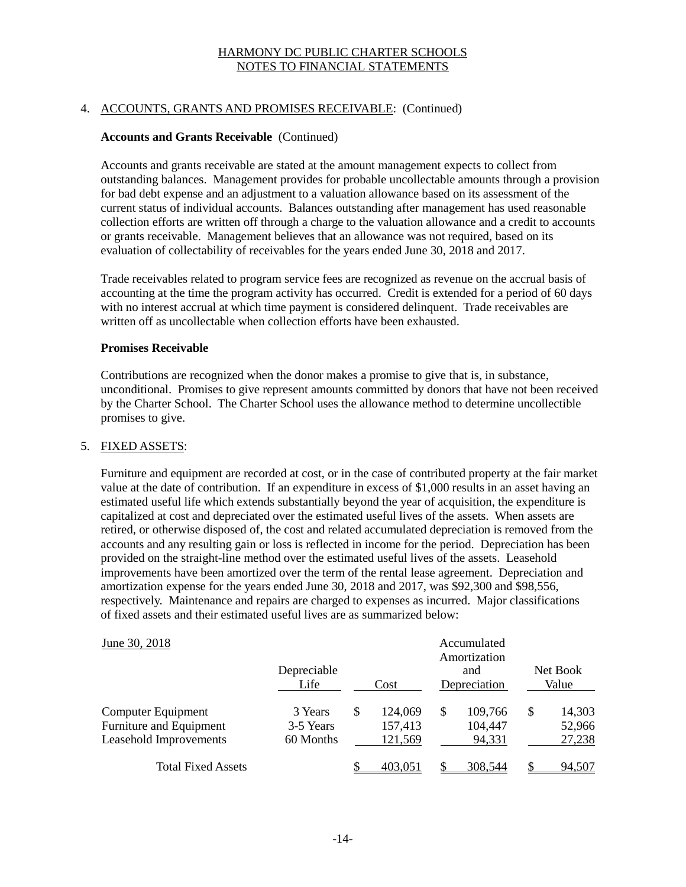### 4. ACCOUNTS, GRANTS AND PROMISES RECEIVABLE: (Continued)

### **Accounts and Grants Receivable** (Continued)

Accounts and grants receivable are stated at the amount management expects to collect from outstanding balances. Management provides for probable uncollectable amounts through a provision for bad debt expense and an adjustment to a valuation allowance based on its assessment of the current status of individual accounts. Balances outstanding after management has used reasonable collection efforts are written off through a charge to the valuation allowance and a credit to accounts or grants receivable. Management believes that an allowance was not required, based on its evaluation of collectability of receivables for the years ended June 30, 2018 and 2017.

Trade receivables related to program service fees are recognized as revenue on the accrual basis of accounting at the time the program activity has occurred. Credit is extended for a period of 60 days with no interest accrual at which time payment is considered delinquent. Trade receivables are written off as uncollectable when collection efforts have been exhausted.

#### **Promises Receivable**

Contributions are recognized when the donor makes a promise to give that is, in substance, unconditional. Promises to give represent amounts committed by donors that have not been received by the Charter School. The Charter School uses the allowance method to determine uncollectible promises to give.

### 5. FIXED ASSETS:

Furniture and equipment are recorded at cost, or in the case of contributed property at the fair market value at the date of contribution. If an expenditure in excess of \$1,000 results in an asset having an estimated useful life which extends substantially beyond the year of acquisition, the expenditure is capitalized at cost and depreciated over the estimated useful lives of the assets. When assets are retired, or otherwise disposed of, the cost and related accumulated depreciation is removed from the accounts and any resulting gain or loss is reflected in income for the period. Depreciation has been provided on the straight-line method over the estimated useful lives of the assets. Leasehold improvements have been amortized over the term of the rental lease agreement. Depreciation and amortization expense for the years ended June 30, 2018 and 2017, was \$92,300 and \$98,556, respectively. Maintenance and repairs are charged to expenses as incurred. Major classifications of fixed assets and their estimated useful lives are as summarized below:

| June 30, 2018                                                           | Depreciable<br>Life               | Cost |                               |   | Accumulated<br>Amortization<br>and<br>Depreciation | Net Book<br>Value                |
|-------------------------------------------------------------------------|-----------------------------------|------|-------------------------------|---|----------------------------------------------------|----------------------------------|
| Computer Equipment<br>Furniture and Equipment<br>Leasehold Improvements | 3 Years<br>3-5 Years<br>60 Months | \$   | 124,069<br>157,413<br>121,569 | S | 109,766<br>104,447<br>94,331                       | \$<br>14,303<br>52,966<br>27,238 |
| <b>Total Fixed Assets</b>                                               |                                   |      | 403,051                       |   | 308.544                                            | 94,507                           |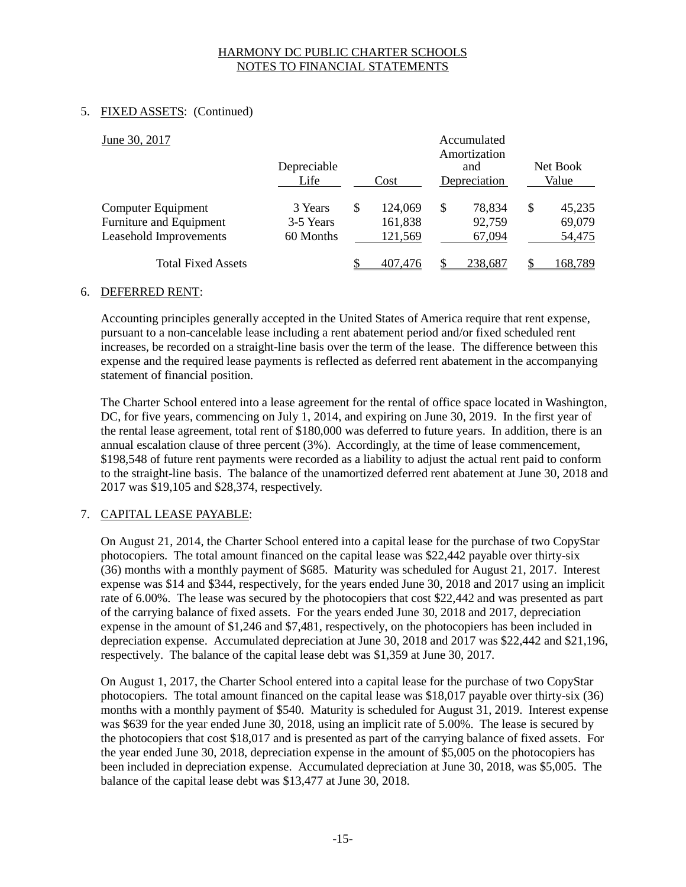# 5. FIXED ASSETS: (Continued)

| June 30, 2017                                                                  | Depreciable<br>Life               | Cost                          | Accumulated<br>Amortization<br>and<br>Depreciation | Net Book<br>Value                |
|--------------------------------------------------------------------------------|-----------------------------------|-------------------------------|----------------------------------------------------|----------------------------------|
| Computer Equipment<br>Furniture and Equipment<br><b>Leasehold Improvements</b> | 3 Years<br>3-5 Years<br>60 Months | 124,069<br>161,838<br>121,569 | \$<br>78,834<br>92,759<br>67,094                   | \$<br>45,235<br>69,079<br>54,475 |
| <b>Total Fixed Assets</b>                                                      |                                   | 407.476                       | 238,687                                            | 168.789                          |

### 6. DEFERRED RENT:

Accounting principles generally accepted in the United States of America require that rent expense, pursuant to a non-cancelable lease including a rent abatement period and/or fixed scheduled rent increases, be recorded on a straight-line basis over the term of the lease. The difference between this expense and the required lease payments is reflected as deferred rent abatement in the accompanying statement of financial position.

The Charter School entered into a lease agreement for the rental of office space located in Washington, DC, for five years, commencing on July 1, 2014, and expiring on June 30, 2019. In the first year of the rental lease agreement, total rent of \$180,000 was deferred to future years. In addition, there is an annual escalation clause of three percent (3%). Accordingly, at the time of lease commencement, \$198,548 of future rent payments were recorded as a liability to adjust the actual rent paid to conform to the straight-line basis. The balance of the unamortized deferred rent abatement at June 30, 2018 and 2017 was \$19,105 and \$28,374, respectively.

# 7. CAPITAL LEASE PAYABLE:

On August 21, 2014, the Charter School entered into a capital lease for the purchase of two CopyStar photocopiers. The total amount financed on the capital lease was \$22,442 payable over thirty-six (36) months with a monthly payment of \$685. Maturity was scheduled for August 21, 2017. Interest expense was \$14 and \$344, respectively, for the years ended June 30, 2018 and 2017 using an implicit rate of 6.00%. The lease was secured by the photocopiers that cost \$22,442 and was presented as part of the carrying balance of fixed assets. For the years ended June 30, 2018 and 2017, depreciation expense in the amount of \$1,246 and \$7,481, respectively, on the photocopiers has been included in depreciation expense. Accumulated depreciation at June 30, 2018 and 2017 was \$22,442 and \$21,196, respectively. The balance of the capital lease debt was \$1,359 at June 30, 2017.

On August 1, 2017, the Charter School entered into a capital lease for the purchase of two CopyStar photocopiers. The total amount financed on the capital lease was \$18,017 payable over thirty-six (36) months with a monthly payment of \$540. Maturity is scheduled for August 31, 2019. Interest expense was \$639 for the year ended June 30, 2018, using an implicit rate of 5.00%. The lease is secured by the photocopiers that cost \$18,017 and is presented as part of the carrying balance of fixed assets. For the year ended June 30, 2018, depreciation expense in the amount of \$5,005 on the photocopiers has been included in depreciation expense. Accumulated depreciation at June 30, 2018, was \$5,005. The balance of the capital lease debt was \$13,477 at June 30, 2018.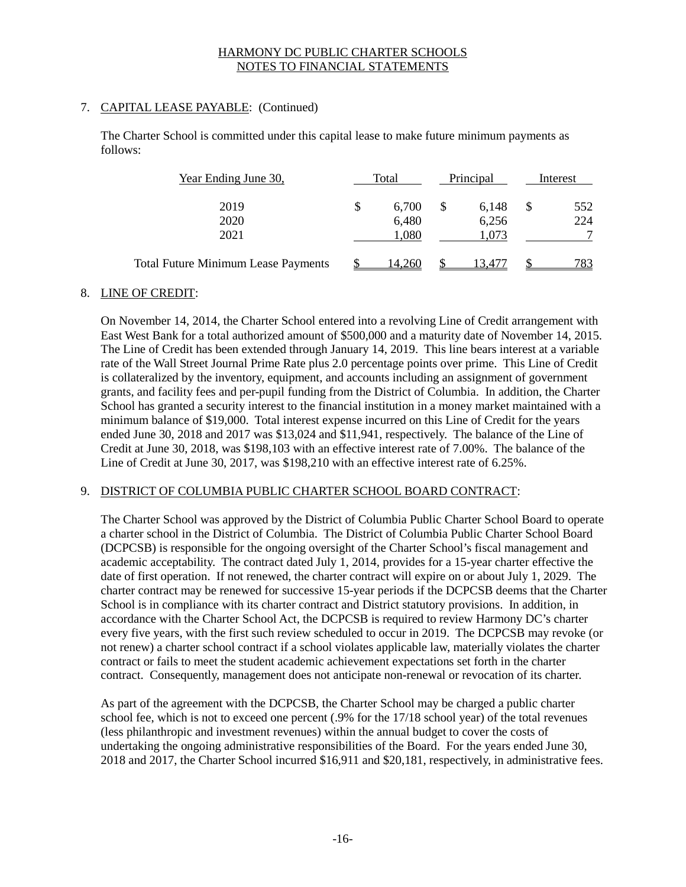# 7. CAPITAL LEASE PAYABLE: (Continued)

The Charter School is committed under this capital lease to make future minimum payments as follows:

| Year Ending June 30,                       | Total       |    | Principal |  | Interest |
|--------------------------------------------|-------------|----|-----------|--|----------|
| 2019                                       | \$<br>6,700 | \$ | 6.148     |  | 552      |
| 2020                                       | 6,480       |    | 6,256     |  | 224      |
| 2021                                       | 1,080       |    | 1,073     |  |          |
| <b>Total Future Minimum Lease Payments</b> | 4.260       |    | 3.47      |  | 783      |

# 8. LINE OF CREDIT:

On November 14, 2014, the Charter School entered into a revolving Line of Credit arrangement with East West Bank for a total authorized amount of \$500,000 and a maturity date of November 14, 2015. The Line of Credit has been extended through January 14, 2019. This line bears interest at a variable rate of the Wall Street Journal Prime Rate plus 2.0 percentage points over prime. This Line of Credit is collateralized by the inventory, equipment, and accounts including an assignment of government grants, and facility fees and per-pupil funding from the District of Columbia. In addition, the Charter School has granted a security interest to the financial institution in a money market maintained with a minimum balance of \$19,000. Total interest expense incurred on this Line of Credit for the years ended June 30, 2018 and 2017 was \$13,024 and \$11,941, respectively. The balance of the Line of Credit at June 30, 2018, was \$198,103 with an effective interest rate of 7.00%. The balance of the Line of Credit at June 30, 2017, was \$198,210 with an effective interest rate of 6.25%.

### 9. DISTRICT OF COLUMBIA PUBLIC CHARTER SCHOOL BOARD CONTRACT:

The Charter School was approved by the District of Columbia Public Charter School Board to operate a charter school in the District of Columbia. The District of Columbia Public Charter School Board (DCPCSB) is responsible for the ongoing oversight of the Charter School's fiscal management and academic acceptability. The contract dated July 1, 2014, provides for a 15-year charter effective the date of first operation. If not renewed, the charter contract will expire on or about July 1, 2029. The charter contract may be renewed for successive 15-year periods if the DCPCSB deems that the Charter School is in compliance with its charter contract and District statutory provisions. In addition, in accordance with the Charter School Act, the DCPCSB is required to review Harmony DC's charter every five years, with the first such review scheduled to occur in 2019. The DCPCSB may revoke (or not renew) a charter school contract if a school violates applicable law, materially violates the charter contract or fails to meet the student academic achievement expectations set forth in the charter contract. Consequently, management does not anticipate non-renewal or revocation of its charter.

As part of the agreement with the DCPCSB, the Charter School may be charged a public charter school fee, which is not to exceed one percent (.9% for the 17/18 school year) of the total revenues (less philanthropic and investment revenues) within the annual budget to cover the costs of undertaking the ongoing administrative responsibilities of the Board. For the years ended June 30, 2018 and 2017, the Charter School incurred \$16,911 and \$20,181, respectively, in administrative fees.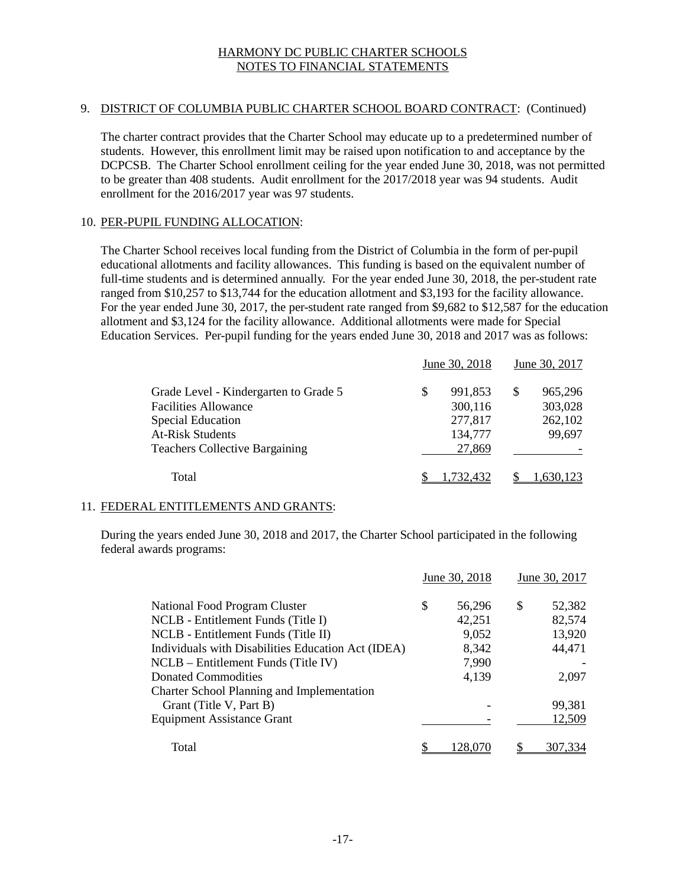# 9. DISTRICT OF COLUMBIA PUBLIC CHARTER SCHOOL BOARD CONTRACT: (Continued)

The charter contract provides that the Charter School may educate up to a predetermined number of students. However, this enrollment limit may be raised upon notification to and acceptance by the DCPCSB. The Charter School enrollment ceiling for the year ended June 30, 2018, was not permitted to be greater than 408 students. Audit enrollment for the 2017/2018 year was 94 students. Audit enrollment for the 2016/2017 year was 97 students.

### 10. PER-PUPIL FUNDING ALLOCATION:

The Charter School receives local funding from the District of Columbia in the form of per-pupil educational allotments and facility allowances. This funding is based on the equivalent number of full-time students and is determined annually. For the year ended June 30, 2018, the per-student rate ranged from \$10,257 to \$13,744 for the education allotment and \$3,193 for the facility allowance. For the year ended June 30, 2017, the per-student rate ranged from \$9,682 to \$12,587 for the education allotment and \$3,124 for the facility allowance. Additional allotments were made for Special Education Services. Per-pupil funding for the years ended June 30, 2018 and 2017 was as follows:

|                                                                                                                                                                      |   | June 30, 2018                                      |   | June 30, 2017                           |
|----------------------------------------------------------------------------------------------------------------------------------------------------------------------|---|----------------------------------------------------|---|-----------------------------------------|
| Grade Level - Kindergarten to Grade 5<br><b>Facilities Allowance</b><br><b>Special Education</b><br><b>At-Risk Students</b><br><b>Teachers Collective Bargaining</b> | S | 991,853<br>300,116<br>277,817<br>134,777<br>27,869 | S | 965,296<br>303,028<br>262,102<br>99,697 |
| Total                                                                                                                                                                |   |                                                    |   |                                         |

# 11. FEDERAL ENTITLEMENTS AND GRANTS:

During the years ended June 30, 2018 and 2017, the Charter School participated in the following federal awards programs:

|                                                    | June 30, 2018 | June 30, 2017 |  |  |
|----------------------------------------------------|---------------|---------------|--|--|
| National Food Program Cluster                      | \$<br>56,296  | \$<br>52.382  |  |  |
| NCLB - Entitlement Funds (Title I)                 | 42,251        | 82,574        |  |  |
| NCLB - Entitlement Funds (Title II)                | 9,052         | 13,920        |  |  |
| Individuals with Disabilities Education Act (IDEA) | 8,342         | 44,471        |  |  |
| $NCLB - Entitlement$ Funds (Title IV)              | 7,990         |               |  |  |
| Donated Commodities                                | 4,139         | 2,097         |  |  |
| Charter School Planning and Implementation         |               |               |  |  |
| Grant (Title V, Part B)                            |               | 99,381        |  |  |
| <b>Equipment Assistance Grant</b>                  |               | 12,509        |  |  |
| Total                                              | 128.0         | 307.334       |  |  |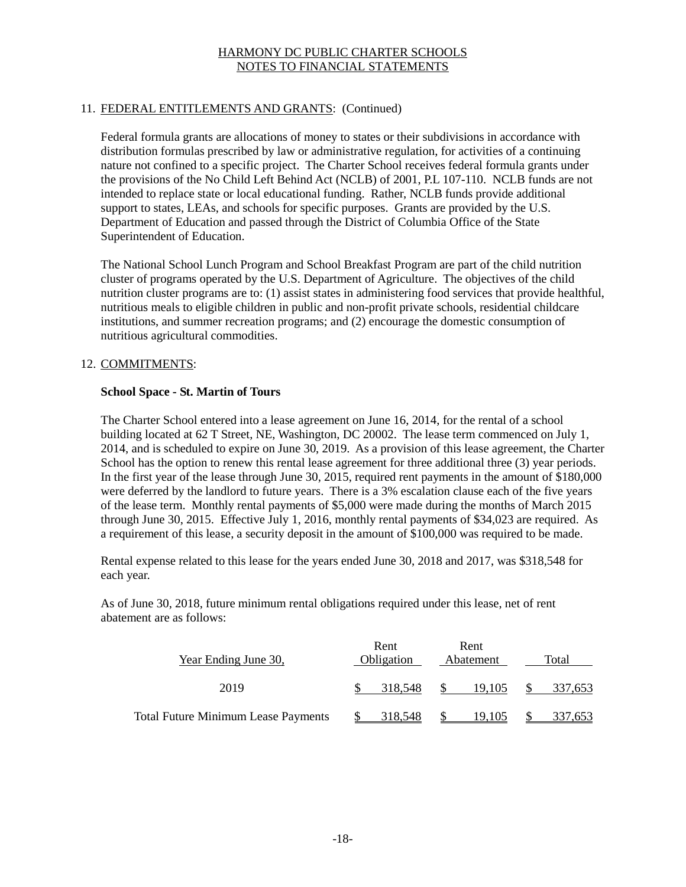# 11. FEDERAL ENTITLEMENTS AND GRANTS: (Continued)

Federal formula grants are allocations of money to states or their subdivisions in accordance with distribution formulas prescribed by law or administrative regulation, for activities of a continuing nature not confined to a specific project. The Charter School receives federal formula grants under the provisions of the No Child Left Behind Act (NCLB) of 2001, P.L 107-110. NCLB funds are not intended to replace state or local educational funding. Rather, NCLB funds provide additional support to states, LEAs, and schools for specific purposes. Grants are provided by the U.S. Department of Education and passed through the District of Columbia Office of the State Superintendent of Education.

The National School Lunch Program and School Breakfast Program are part of the child nutrition cluster of programs operated by the U.S. Department of Agriculture. The objectives of the child nutrition cluster programs are to: (1) assist states in administering food services that provide healthful, nutritious meals to eligible children in public and non-profit private schools, residential childcare institutions, and summer recreation programs; and (2) encourage the domestic consumption of nutritious agricultural commodities.

### 12. COMMITMENTS:

#### **School Space - St. Martin of Tours**

The Charter School entered into a lease agreement on June 16, 2014, for the rental of a school building located at 62 T Street, NE, Washington, DC 20002. The lease term commenced on July 1, 2014, and is scheduled to expire on June 30, 2019. As a provision of this lease agreement, the Charter School has the option to renew this rental lease agreement for three additional three (3) year periods. In the first year of the lease through June 30, 2015, required rent payments in the amount of \$180,000 were deferred by the landlord to future years. There is a 3% escalation clause each of the five years of the lease term. Monthly rental payments of \$5,000 were made during the months of March 2015 through June 30, 2015. Effective July 1, 2016, monthly rental payments of \$34,023 are required. As a requirement of this lease, a security deposit in the amount of \$100,000 was required to be made.

Rental expense related to this lease for the years ended June 30, 2018 and 2017, was \$318,548 for each year.

As of June 30, 2018, future minimum rental obligations required under this lease, net of rent abatement are as follows:

| Year Ending June 30,                       | Rent<br>Obligation | Rent<br>Abatement | Total |         |  |  |  |
|--------------------------------------------|--------------------|-------------------|-------|---------|--|--|--|
| 2019                                       | 318.548            | 19.105            |       | 337,653 |  |  |  |
| <b>Total Future Minimum Lease Payments</b> | 318.548            | 19.105            |       | 337,653 |  |  |  |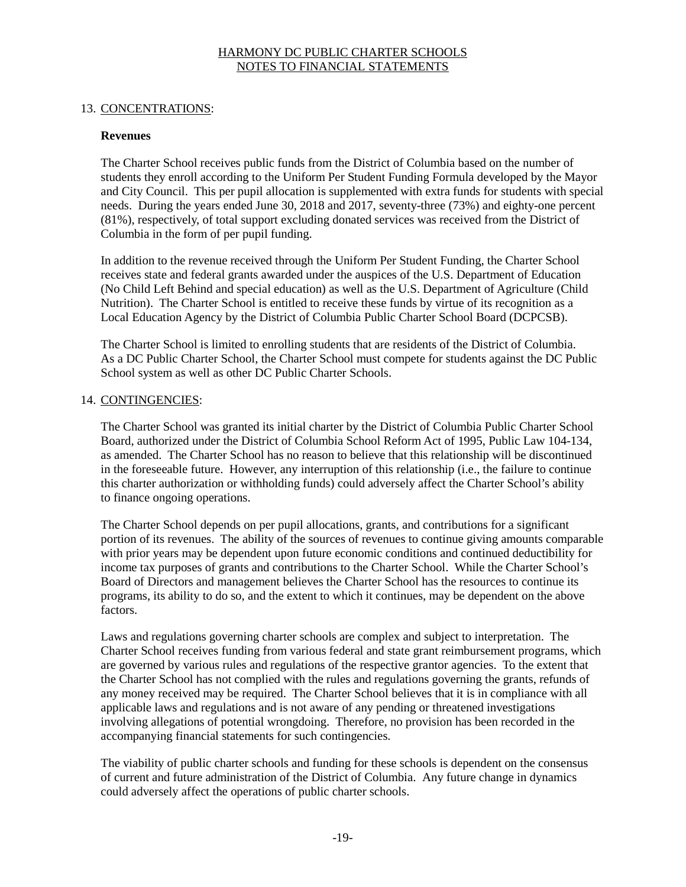### 13. CONCENTRATIONS:

#### **Revenues**

The Charter School receives public funds from the District of Columbia based on the number of students they enroll according to the Uniform Per Student Funding Formula developed by the Mayor and City Council. This per pupil allocation is supplemented with extra funds for students with special needs. During the years ended June 30, 2018 and 2017, seventy-three (73%) and eighty-one percent (81%), respectively, of total support excluding donated services was received from the District of Columbia in the form of per pupil funding.

In addition to the revenue received through the Uniform Per Student Funding, the Charter School receives state and federal grants awarded under the auspices of the U.S. Department of Education (No Child Left Behind and special education) as well as the U.S. Department of Agriculture (Child Nutrition). The Charter School is entitled to receive these funds by virtue of its recognition as a Local Education Agency by the District of Columbia Public Charter School Board (DCPCSB).

The Charter School is limited to enrolling students that are residents of the District of Columbia. As a DC Public Charter School, the Charter School must compete for students against the DC Public School system as well as other DC Public Charter Schools.

### 14. CONTINGENCIES:

The Charter School was granted its initial charter by the District of Columbia Public Charter School Board, authorized under the District of Columbia School Reform Act of 1995, Public Law 104-134, as amended. The Charter School has no reason to believe that this relationship will be discontinued in the foreseeable future. However, any interruption of this relationship (i.e., the failure to continue this charter authorization or withholding funds) could adversely affect the Charter School's ability to finance ongoing operations.

The Charter School depends on per pupil allocations, grants, and contributions for a significant portion of its revenues. The ability of the sources of revenues to continue giving amounts comparable with prior years may be dependent upon future economic conditions and continued deductibility for income tax purposes of grants and contributions to the Charter School. While the Charter School's Board of Directors and management believes the Charter School has the resources to continue its programs, its ability to do so, and the extent to which it continues, may be dependent on the above factors.

Laws and regulations governing charter schools are complex and subject to interpretation. The Charter School receives funding from various federal and state grant reimbursement programs, which are governed by various rules and regulations of the respective grantor agencies. To the extent that the Charter School has not complied with the rules and regulations governing the grants, refunds of any money received may be required. The Charter School believes that it is in compliance with all applicable laws and regulations and is not aware of any pending or threatened investigations involving allegations of potential wrongdoing. Therefore, no provision has been recorded in the accompanying financial statements for such contingencies.

The viability of public charter schools and funding for these schools is dependent on the consensus of current and future administration of the District of Columbia. Any future change in dynamics could adversely affect the operations of public charter schools.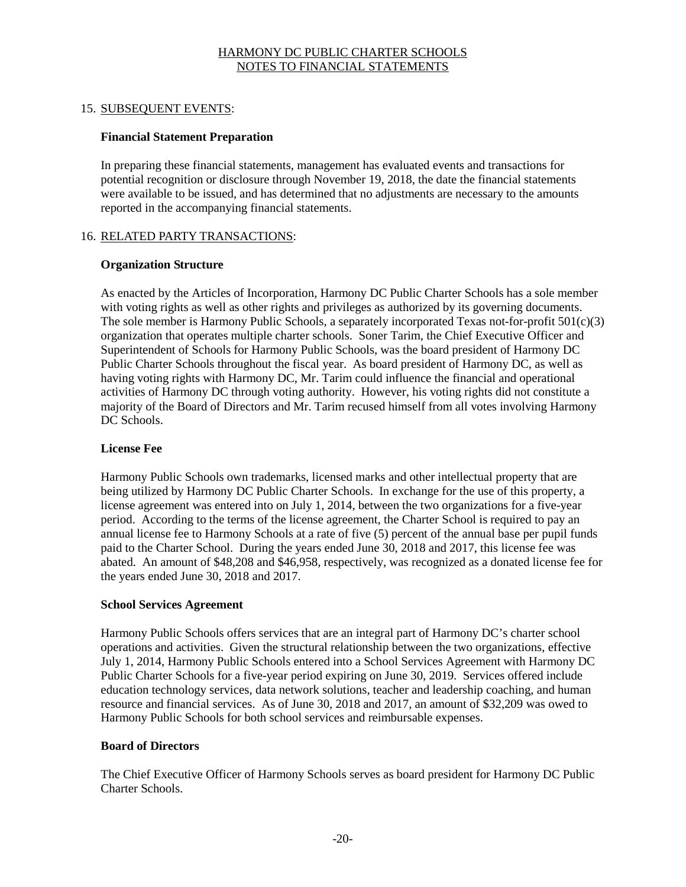### 15. SUBSEQUENT EVENTS:

### **Financial Statement Preparation**

In preparing these financial statements, management has evaluated events and transactions for potential recognition or disclosure through November 19, 2018, the date the financial statements were available to be issued, and has determined that no adjustments are necessary to the amounts reported in the accompanying financial statements.

### 16. RELATED PARTY TRANSACTIONS:

#### **Organization Structure**

As enacted by the Articles of Incorporation, Harmony DC Public Charter Schools has a sole member with voting rights as well as other rights and privileges as authorized by its governing documents. The sole member is Harmony Public Schools, a separately incorporated Texas not-for-profit 501(c)(3) organization that operates multiple charter schools. Soner Tarim, the Chief Executive Officer and Superintendent of Schools for Harmony Public Schools, was the board president of Harmony DC Public Charter Schools throughout the fiscal year. As board president of Harmony DC, as well as having voting rights with Harmony DC, Mr. Tarim could influence the financial and operational activities of Harmony DC through voting authority. However, his voting rights did not constitute a majority of the Board of Directors and Mr. Tarim recused himself from all votes involving Harmony DC Schools.

### **License Fee**

Harmony Public Schools own trademarks, licensed marks and other intellectual property that are being utilized by Harmony DC Public Charter Schools. In exchange for the use of this property, a license agreement was entered into on July 1, 2014, between the two organizations for a five-year period. According to the terms of the license agreement, the Charter School is required to pay an annual license fee to Harmony Schools at a rate of five (5) percent of the annual base per pupil funds paid to the Charter School. During the years ended June 30, 2018 and 2017, this license fee was abated. An amount of \$48,208 and \$46,958, respectively, was recognized as a donated license fee for the years ended June 30, 2018 and 2017.

### **School Services Agreement**

Harmony Public Schools offers services that are an integral part of Harmony DC's charter school operations and activities. Given the structural relationship between the two organizations, effective July 1, 2014, Harmony Public Schools entered into a School Services Agreement with Harmony DC Public Charter Schools for a five-year period expiring on June 30, 2019. Services offered include education technology services, data network solutions, teacher and leadership coaching, and human resource and financial services. As of June 30, 2018 and 2017, an amount of \$32,209 was owed to Harmony Public Schools for both school services and reimbursable expenses.

### **Board of Directors**

The Chief Executive Officer of Harmony Schools serves as board president for Harmony DC Public Charter Schools.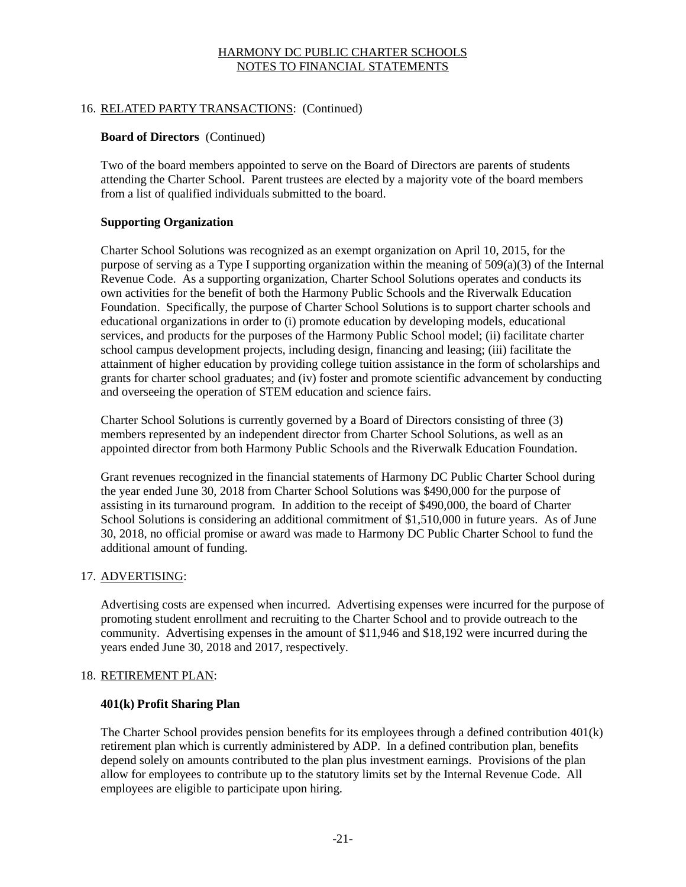# 16. RELATED PARTY TRANSACTIONS: (Continued)

### **Board of Directors** (Continued)

Two of the board members appointed to serve on the Board of Directors are parents of students attending the Charter School. Parent trustees are elected by a majority vote of the board members from a list of qualified individuals submitted to the board.

### **Supporting Organization**

Charter School Solutions was recognized as an exempt organization on April 10, 2015, for the purpose of serving as a Type I supporting organization within the meaning of 509(a)(3) of the Internal Revenue Code. As a supporting organization, Charter School Solutions operates and conducts its own activities for the benefit of both the Harmony Public Schools and the Riverwalk Education Foundation. Specifically, the purpose of Charter School Solutions is to support charter schools and educational organizations in order to (i) promote education by developing models, educational services, and products for the purposes of the Harmony Public School model; (ii) facilitate charter school campus development projects, including design, financing and leasing; (iii) facilitate the attainment of higher education by providing college tuition assistance in the form of scholarships and grants for charter school graduates; and (iv) foster and promote scientific advancement by conducting and overseeing the operation of STEM education and science fairs.

Charter School Solutions is currently governed by a Board of Directors consisting of three (3) members represented by an independent director from Charter School Solutions, as well as an appointed director from both Harmony Public Schools and the Riverwalk Education Foundation.

Grant revenues recognized in the financial statements of Harmony DC Public Charter School during the year ended June 30, 2018 from Charter School Solutions was \$490,000 for the purpose of assisting in its turnaround program. In addition to the receipt of \$490,000, the board of Charter School Solutions is considering an additional commitment of \$1,510,000 in future years. As of June 30, 2018, no official promise or award was made to Harmony DC Public Charter School to fund the additional amount of funding.

### 17. ADVERTISING:

Advertising costs are expensed when incurred. Advertising expenses were incurred for the purpose of promoting student enrollment and recruiting to the Charter School and to provide outreach to the community. Advertising expenses in the amount of \$11,946 and \$18,192 were incurred during the years ended June 30, 2018 and 2017, respectively.

### 18. RETIREMENT PLAN:

### **401(k) Profit Sharing Plan**

The Charter School provides pension benefits for its employees through a defined contribution 401(k) retirement plan which is currently administered by ADP. In a defined contribution plan, benefits depend solely on amounts contributed to the plan plus investment earnings. Provisions of the plan allow for employees to contribute up to the statutory limits set by the Internal Revenue Code. All employees are eligible to participate upon hiring.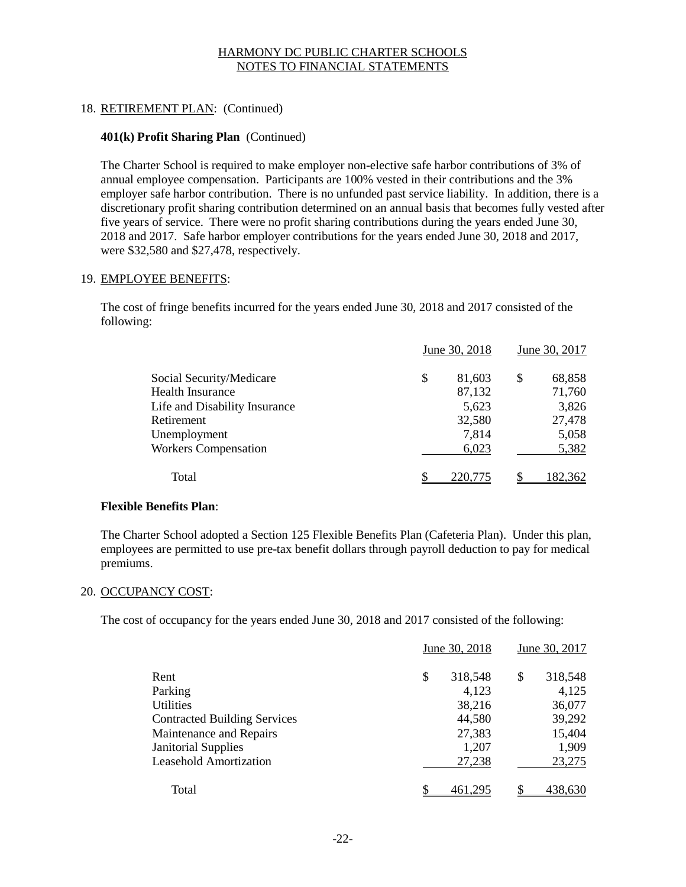# 18. RETIREMENT PLAN: (Continued)

### **401(k) Profit Sharing Plan** (Continued)

The Charter School is required to make employer non-elective safe harbor contributions of 3% of annual employee compensation. Participants are 100% vested in their contributions and the 3% employer safe harbor contribution. There is no unfunded past service liability. In addition, there is a discretionary profit sharing contribution determined on an annual basis that becomes fully vested after five years of service. There were no profit sharing contributions during the years ended June 30, 2018 and 2017. Safe harbor employer contributions for the years ended June 30, 2018 and 2017, were \$32,580 and \$27,478, respectively.

### 19. EMPLOYEE BENEFITS:

The cost of fringe benefits incurred for the years ended June 30, 2018 and 2017 consisted of the following:

|                               | June 30, 2018 | June 30, 2017 |        |  |  |  |
|-------------------------------|---------------|---------------|--------|--|--|--|
| Social Security/Medicare      | \$<br>81,603  | \$            | 68,858 |  |  |  |
| <b>Health Insurance</b>       | 87,132        |               | 71,760 |  |  |  |
| Life and Disability Insurance | 5,623         |               | 3,826  |  |  |  |
| Retirement                    | 32,580        |               | 27,478 |  |  |  |
| Unemployment                  | 7,814         |               | 5,058  |  |  |  |
| <b>Workers Compensation</b>   | 6,023         |               | 5,382  |  |  |  |
| Total                         | \$<br>220,775 | ¢             | 82.362 |  |  |  |

### **Flexible Benefits Plan**:

The Charter School adopted a Section 125 Flexible Benefits Plan (Cafeteria Plan). Under this plan, employees are permitted to use pre-tax benefit dollars through payroll deduction to pay for medical premiums.

### 20. OCCUPANCY COST:

The cost of occupancy for the years ended June 30, 2018 and 2017 consisted of the following:

|                                     | June 30, 2018 | June 30, 2017 |
|-------------------------------------|---------------|---------------|
| Rent                                | \$<br>318,548 | S<br>318,548  |
| Parking                             | 4,123         | 4,125         |
| Utilities                           | 38,216        | 36,077        |
| <b>Contracted Building Services</b> | 44,580        | 39,292        |
| Maintenance and Repairs             | 27,383        | 15,404        |
| <b>Janitorial Supplies</b>          | 1,207         | 1,909         |
| <b>Leasehold Amortization</b>       | 27,238        | 23,275        |
|                                     |               |               |
| Total                               |               | 438.630       |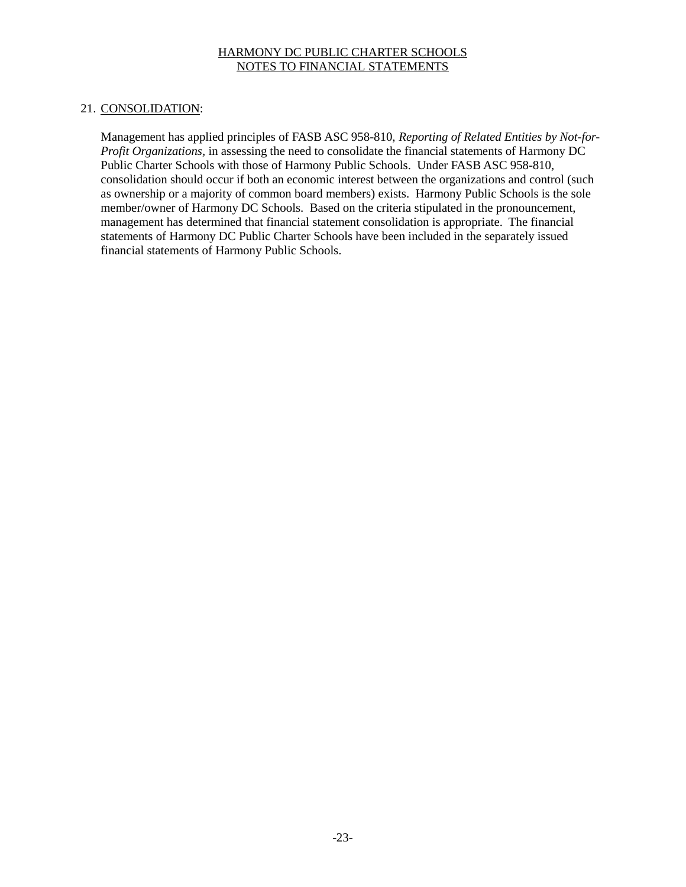### 21. CONSOLIDATION:

Management has applied principles of FASB ASC 958-810, *Reporting of Related Entities by Not-for-Profit Organizations,* in assessing the need to consolidate the financial statements of Harmony DC Public Charter Schools with those of Harmony Public Schools. Under FASB ASC 958-810, consolidation should occur if both an economic interest between the organizations and control (such as ownership or a majority of common board members) exists. Harmony Public Schools is the sole member/owner of Harmony DC Schools. Based on the criteria stipulated in the pronouncement, management has determined that financial statement consolidation is appropriate. The financial statements of Harmony DC Public Charter Schools have been included in the separately issued financial statements of Harmony Public Schools.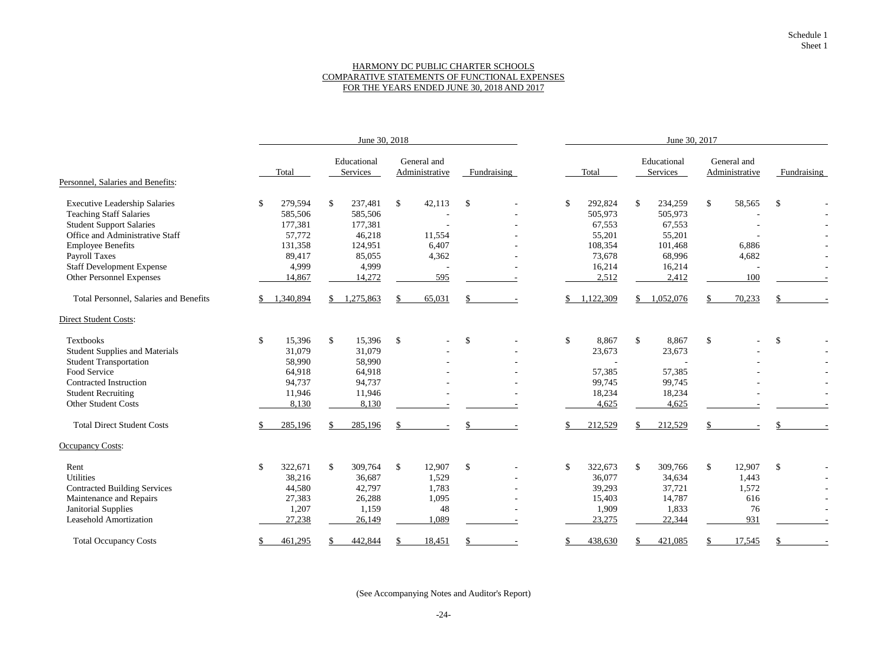### HARMONY DC PUBLIC CHARTER SCHOOLS COMPARATIVE STATEMENTS OF FUNCTIONAL EXPENSES FOR THE YEARS ENDED JUNE 30, 2018 AND 2017

|                                               |              | June 30, 2018 |              |                         |                           |                               |               |             |                           | June 30, 2017 |              |                         |               |                               |                           |  |  |  |
|-----------------------------------------------|--------------|---------------|--------------|-------------------------|---------------------------|-------------------------------|---------------|-------------|---------------------------|---------------|--------------|-------------------------|---------------|-------------------------------|---------------------------|--|--|--|
|                                               |              | Total         |              | Educational<br>Services |                           | General and<br>Administrative |               | Fundraising |                           | Total         |              | Educational<br>Services |               | General and<br>Administrative | Fundraising               |  |  |  |
| Personnel, Salaries and Benefits:             |              |               |              |                         |                           |                               |               |             |                           |               |              |                         |               |                               |                           |  |  |  |
| <b>Executive Leadership Salaries</b>          | \$           | 279,594       | $\mathbb{S}$ | 237,481                 | $\mathcal{S}$             | 42,113                        | $\mathcal{S}$ |             | $\mathbb{S}$              | 292,824       | $\mathbb{S}$ | 234,259                 | $\mathcal{S}$ | 58,565                        | $\mathcal{S}$             |  |  |  |
| <b>Teaching Staff Salaries</b>                |              | 585,506       |              | 585,506                 |                           |                               |               |             |                           | 505,973       |              | 505,973                 |               |                               |                           |  |  |  |
| <b>Student Support Salaries</b>               |              | 177,381       |              | 177,381                 |                           |                               |               |             |                           | 67,553        |              | 67,553                  |               |                               |                           |  |  |  |
| Office and Administrative Staff               |              | 57,772        |              | 46,218                  |                           | 11,554                        |               |             |                           | 55,201        |              | 55,201                  |               |                               |                           |  |  |  |
| <b>Employee Benefits</b>                      |              | 131,358       |              | 124,951                 |                           | 6,407                         |               |             |                           | 108,354       |              | 101,468                 |               | 6,886                         |                           |  |  |  |
| <b>Payroll Taxes</b>                          |              | 89,417        |              | 85,055                  |                           | 4,362                         |               |             |                           | 73,678        |              | 68,996                  |               | 4,682                         |                           |  |  |  |
| <b>Staff Development Expense</b>              |              | 4,999         |              | 4,999                   |                           |                               |               |             |                           | 16,214        |              | 16,214                  |               |                               |                           |  |  |  |
| Other Personnel Expenses                      |              | 14,867        |              | 14,272                  |                           | 595                           |               |             |                           | 2,512         |              | 2,412                   |               | 100                           |                           |  |  |  |
| <b>Total Personnel, Salaries and Benefits</b> |              | 1,340,894     |              | 1,275,863               |                           | 65,031                        |               |             |                           | 1,122,309     | S.           | 1,052,076               |               | 70,233                        |                           |  |  |  |
| <b>Direct Student Costs:</b>                  |              |               |              |                         |                           |                               |               |             |                           |               |              |                         |               |                               |                           |  |  |  |
| Textbooks                                     | $\mathbb{S}$ | 15,396        | $\mathbb{S}$ | 15,396                  | $\boldsymbol{\mathsf{S}}$ | $\overline{\phantom{0}}$      | $\mathbb{S}$  |             | $\boldsymbol{\mathsf{S}}$ | 8,867         | $\mathbb{S}$ | 8,867                   | $\mathcal{S}$ |                               | $\boldsymbol{\mathsf{S}}$ |  |  |  |
| <b>Student Supplies and Materials</b>         |              | 31,079        |              | 31,079                  |                           |                               |               |             |                           | 23,673        |              | 23,673                  |               |                               |                           |  |  |  |
| <b>Student Transportation</b>                 |              | 58,990        |              | 58,990                  |                           |                               |               |             |                           |               |              |                         |               |                               |                           |  |  |  |
| Food Service                                  |              | 64,918        |              | 64,918                  |                           |                               |               |             |                           | 57,385        |              | 57,385                  |               |                               |                           |  |  |  |
| Contracted Instruction                        |              | 94,737        |              | 94,737                  |                           |                               |               |             |                           | 99,745        |              | 99,745                  |               |                               |                           |  |  |  |
| <b>Student Recruiting</b>                     |              | 11,946        |              | 11,946                  |                           |                               |               |             |                           | 18,234        |              | 18,234                  |               |                               |                           |  |  |  |
| <b>Other Student Costs</b>                    |              | 8,130         |              | 8,130                   |                           |                               |               |             |                           | 4,625         |              | 4,625                   |               |                               |                           |  |  |  |
| <b>Total Direct Student Costs</b>             |              | 285,196       |              | 285,196                 | $\mathcal{L}$             |                               |               |             |                           | 212,529       |              | 212,529                 |               |                               |                           |  |  |  |
| <b>Occupancy Costs:</b>                       |              |               |              |                         |                           |                               |               |             |                           |               |              |                         |               |                               |                           |  |  |  |
| Rent                                          | \$           | 322,671       | \$           | 309,764                 | $\mathcal{S}$             | 12,907                        | $\sqrt$       |             | \$                        | 322,673       | $\mathbb{S}$ | 309,766                 | $\mathcal{S}$ | 12,907                        | $\mathcal{S}$             |  |  |  |
| <b>Utilities</b>                              |              | 38,216        |              | 36,687                  |                           | 1,529                         |               |             |                           | 36,077        |              | 34,634                  |               | 1,443                         |                           |  |  |  |
| <b>Contracted Building Services</b>           |              | 44,580        |              | 42,797                  |                           | 1,783                         |               |             |                           | 39,293        |              | 37,721                  |               | 1,572                         |                           |  |  |  |
| Maintenance and Repairs                       |              | 27,383        |              | 26,288                  |                           | 1,095                         |               |             |                           | 15,403        |              | 14,787                  |               | 616                           |                           |  |  |  |
| <b>Janitorial Supplies</b>                    |              | 1,207         |              | 1,159                   |                           | 48                            |               |             |                           | 1,909         |              | 1,833                   |               | 76                            |                           |  |  |  |
| <b>Leasehold Amortization</b>                 |              | 27,238        |              | 26,149                  |                           | 1,089                         |               |             |                           | 23,275        |              | 22,344                  |               | 931                           |                           |  |  |  |
| <b>Total Occupancy Costs</b>                  | \$           | 461,295       |              | 442,844                 |                           | 18,451                        | S.            |             | \$                        | 438,630       |              | 421,085                 |               | 17,545                        | <sup>\$</sup>             |  |  |  |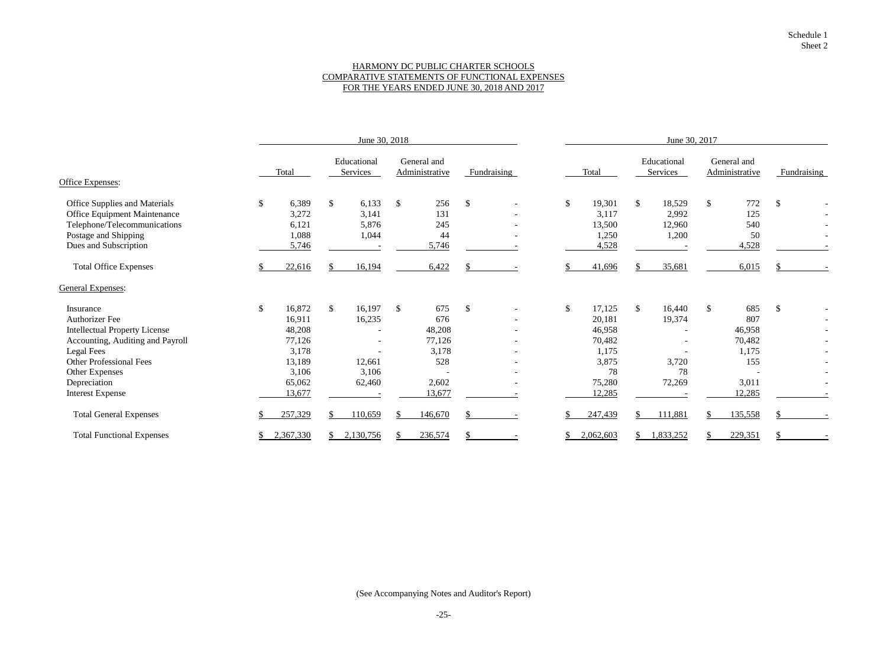### HARMONY DC PUBLIC CHARTER SCHOOLS COMPARATIVE STATEMENTS OF FUNCTIONAL EXPENSES FOR THE YEARS ENDED JUNE 30, 2018 AND 2017

|                                      |                           | June 30, 2018 |               |                          |               |                               |               |                          | June 30, 2017 |           |              |                         |               |                               |               |  |  |
|--------------------------------------|---------------------------|---------------|---------------|--------------------------|---------------|-------------------------------|---------------|--------------------------|---------------|-----------|--------------|-------------------------|---------------|-------------------------------|---------------|--|--|
|                                      |                           | Total         |               | Educational<br>Services  |               | General and<br>Administrative |               | Fundraising              |               | Total     |              | Educational<br>Services |               | General and<br>Administrative | Fundraising   |  |  |
| <b>Office Expenses:</b>              |                           |               |               |                          |               |                               |               |                          |               |           |              |                         |               |                               |               |  |  |
| Office Supplies and Materials        | $\mathbb{S}$              | 6,389         | $\mathbb{S}$  | 6,133                    | $\mathcal{S}$ | 256                           | $\mathcal{S}$ | $\overline{\phantom{a}}$ | $\mathcal{S}$ | 19,301    | $\mathbb{S}$ | 18,529                  | $\mathcal{S}$ | 772                           | $\mathcal{S}$ |  |  |
| <b>Office Equipment Maintenance</b>  |                           | 3,272         |               | 3,141                    |               | 131                           |               |                          |               | 3,117     |              | 2,992                   |               | 125                           |               |  |  |
| Telephone/Telecommunications         |                           | 6,121         |               | 5,876                    |               | 245                           |               |                          |               | 13,500    |              | 12,960                  |               | 540                           |               |  |  |
| Postage and Shipping                 |                           | 1,088         |               | 1,044                    |               | 44                            |               |                          |               | 1,250     |              | 1,200                   |               | 50                            |               |  |  |
| Dues and Subscription                |                           | 5,746         |               |                          |               | 5,746                         |               |                          |               | 4,528     |              |                         |               | 4,528                         |               |  |  |
| <b>Total Office Expenses</b>         |                           | 22,616        |               | 16,194                   |               | 6,422                         |               |                          |               | 41,696    |              | 35,681                  |               | 6,015                         |               |  |  |
| <b>General Expenses:</b>             |                           |               |               |                          |               |                               |               |                          |               |           |              |                         |               |                               |               |  |  |
| Insurance                            | $\boldsymbol{\mathsf{S}}$ | 16,872        | $\mathcal{S}$ | 16,197                   | $\mathcal{S}$ | 675                           | $\mathcal{S}$ |                          | $\mathcal{L}$ | 17,125    | $\mathbb{S}$ | 16,440                  | $\mathcal{S}$ | 685                           | $\mathcal{S}$ |  |  |
| <b>Authorizer Fee</b>                |                           | 16,911        |               | 16,235                   |               | 676                           |               |                          |               | 20,181    |              | 19,374                  |               | 807                           |               |  |  |
| <b>Intellectual Property License</b> |                           | 48,208        |               |                          |               | 48,208                        |               |                          |               | 46,958    |              |                         |               | 46,958                        |               |  |  |
| Accounting, Auditing and Payroll     |                           | 77,126        |               | $\overline{\phantom{a}}$ |               | 77,126                        |               |                          |               | 70,482    |              |                         |               | 70,482                        |               |  |  |
| <b>Legal Fees</b>                    |                           | 3,178         |               | $\overline{\phantom{a}}$ |               | 3,178                         |               |                          |               | 1,175     |              |                         |               | 1,175                         |               |  |  |
| <b>Other Professional Fees</b>       |                           | 13,189        |               | 12,661                   |               | 528                           |               |                          |               | 3,875     |              | 3,720                   |               | 155                           |               |  |  |
| Other Expenses                       |                           | 3,106         |               | 3,106                    |               |                               |               |                          |               | 78        |              | 78                      |               |                               |               |  |  |
| Depreciation                         |                           | 65,062        |               | 62,460                   |               | 2,602                         |               |                          |               | 75,280    |              | 72,269                  |               | 3,011                         |               |  |  |
| <b>Interest Expense</b>              |                           | 13,677        |               |                          |               | 13,677                        |               |                          |               | 12,285    |              |                         |               | 12,285                        |               |  |  |
| <b>Total General Expenses</b>        |                           | 257,329       |               | 110,659                  |               | 146,670                       |               |                          |               | 247,439   |              | 111,881                 |               | 135,558                       |               |  |  |
| <b>Total Functional Expenses</b>     |                           | 2,367,330     |               | 2,130,756                |               | 236,574                       |               |                          |               | 2,062,603 |              | 1,833,252               |               | 229,351                       | S.            |  |  |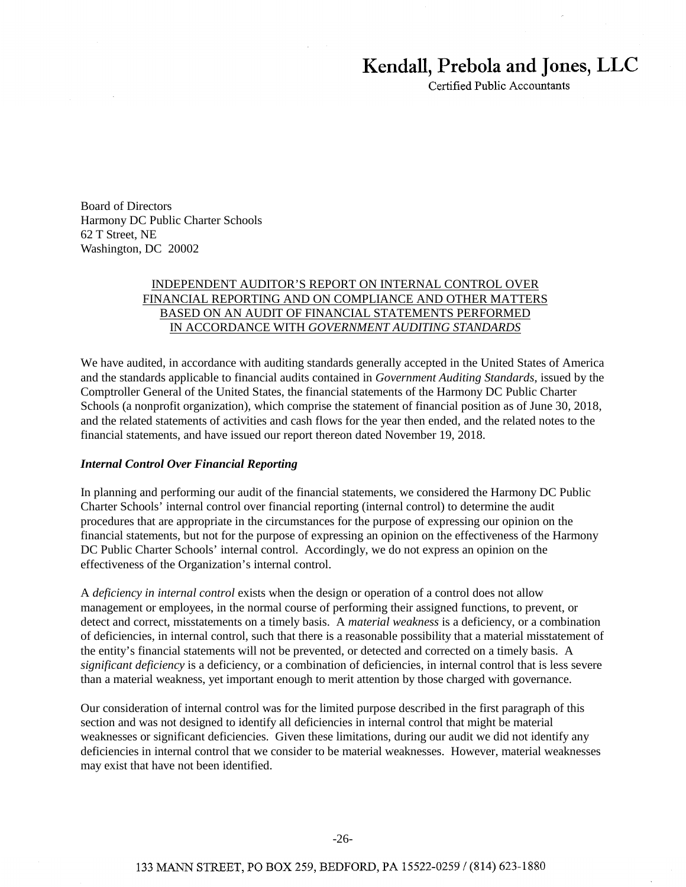# **Kendall, Prebola and Jones, LLC**

Certified Public Accountants

Board of Directors Harmony DC Public Charter Schools 62 T Street, NE Washington, DC 20002

### INDEPENDENT AUDITOR'S REPORT ON INTERNAL CONTROL OVER FINANCIAL REPORTING AND ON COMPLIANCE AND OTHER MATTERS BASED ON AN AUDIT OF FINANCIAL STATEMENTS PERFORMED IN ACCORDANCE WITH *GOVERNMENT AUDITING STANDARDS*

We have audited, in accordance with auditing standards generally accepted in the United States of America and the standards applicable to financial audits contained in *Government Auditing Standards*, issued by the Comptroller General of the United States, the financial statements of the Harmony DC Public Charter Schools (a nonprofit organization), which comprise the statement of financial position as of June 30, 2018, and the related statements of activities and cash flows for the year then ended, and the related notes to the financial statements, and have issued our report thereon dated November 19, 2018.

#### *Internal Control Over Financial Reporting*

In planning and performing our audit of the financial statements, we considered the Harmony DC Public Charter Schools' internal control over financial reporting (internal control) to determine the audit procedures that are appropriate in the circumstances for the purpose of expressing our opinion on the financial statements, but not for the purpose of expressing an opinion on the effectiveness of the Harmony DC Public Charter Schools' internal control. Accordingly, we do not express an opinion on the effectiveness of the Organization's internal control.

A *deficiency in internal control* exists when the design or operation of a control does not allow management or employees, in the normal course of performing their assigned functions, to prevent, or detect and correct, misstatements on a timely basis. A *material weakness* is a deficiency, or a combination of deficiencies, in internal control, such that there is a reasonable possibility that a material misstatement of the entity's financial statements will not be prevented, or detected and corrected on a timely basis. A *significant deficiency* is a deficiency, or a combination of deficiencies, in internal control that is less severe than a material weakness, yet important enough to merit attention by those charged with governance.

Our consideration of internal control was for the limited purpose described in the first paragraph of this section and was not designed to identify all deficiencies in internal control that might be material weaknesses or significant deficiencies. Given these limitations, during our audit we did not identify any deficiencies in internal control that we consider to be material weaknesses. However, material weaknesses may exist that have not been identified.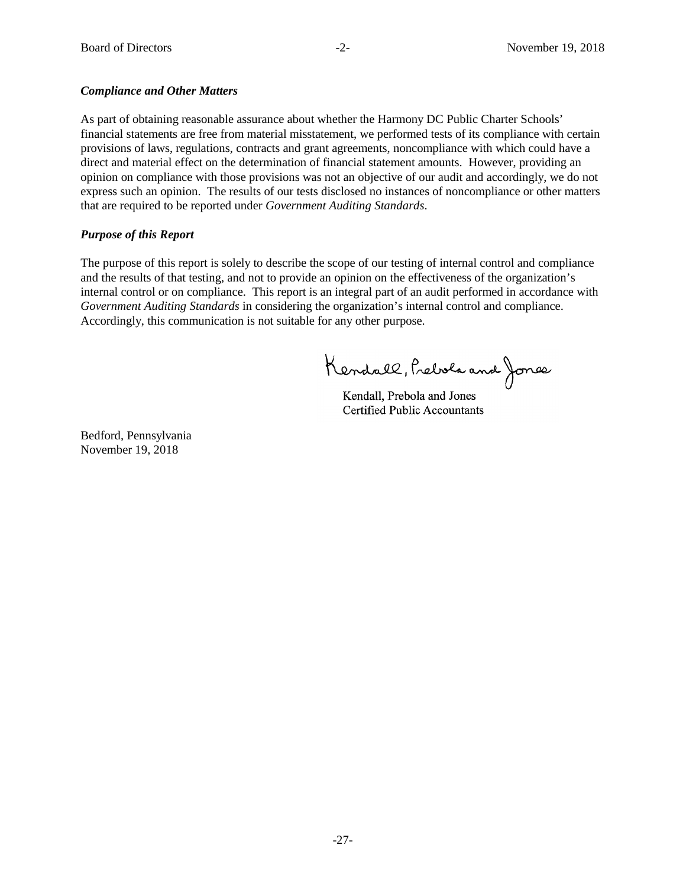### *Compliance and Other Matters*

As part of obtaining reasonable assurance about whether the Harmony DC Public Charter Schools' financial statements are free from material misstatement, we performed tests of its compliance with certain provisions of laws, regulations, contracts and grant agreements, noncompliance with which could have a direct and material effect on the determination of financial statement amounts. However, providing an opinion on compliance with those provisions was not an objective of our audit and accordingly, we do not express such an opinion. The results of our tests disclosed no instances of noncompliance or other matters that are required to be reported under *Government Auditing Standards*.

# *Purpose of this Report*

The purpose of this report is solely to describe the scope of our testing of internal control and compliance and the results of that testing, and not to provide an opinion on the effectiveness of the organization's internal control or on compliance. This report is an integral part of an audit performed in accordance with *Government Auditing Standards* in considering the organization's internal control and compliance. Accordingly, this communication is not suitable for any other purpose.

Kendall, Prebola and Jones

Kendall, Prebola and Jones Kendall, Prebola and Jones Certified Public Accountants Certified Public Accountants

Bedford, Pennsylvania November 19, 2018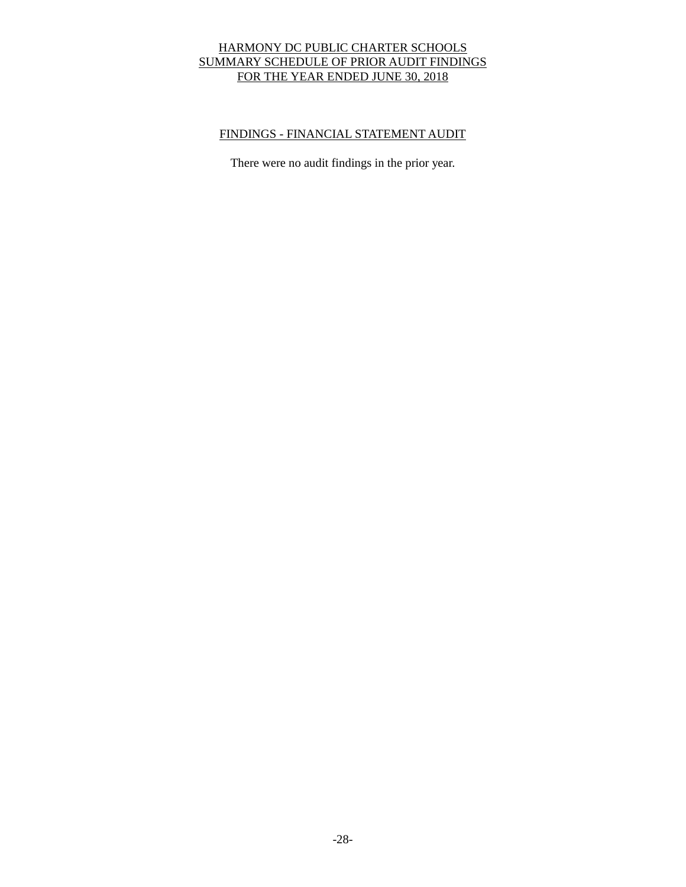# HARMONY DC PUBLIC CHARTER SCHOOLS SUMMARY SCHEDULE OF PRIOR AUDIT FINDINGS FOR THE YEAR ENDED JUNE 30, 2018

# FINDINGS - FINANCIAL STATEMENT AUDIT

There were no audit findings in the prior year.